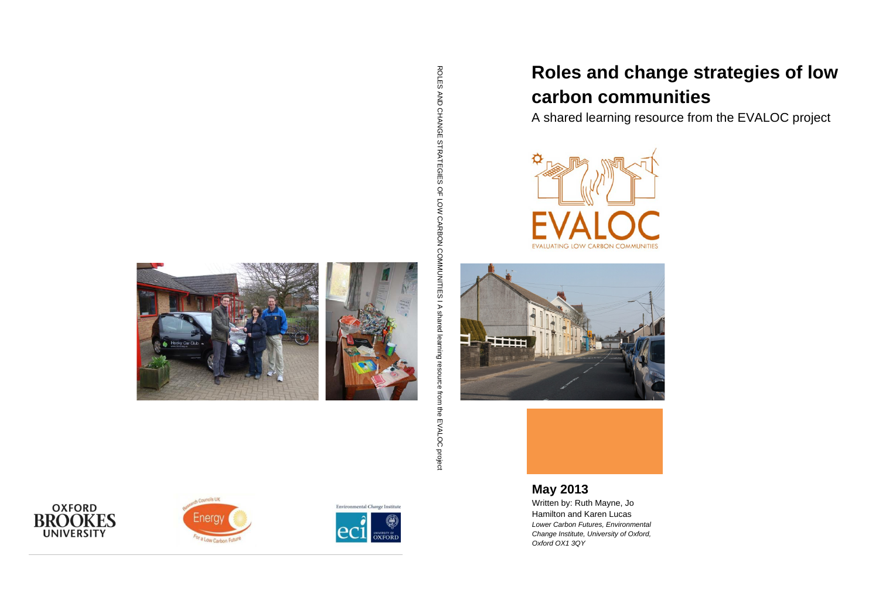# **Roles and change strategies of low**





A shared learning resource from the EVALOC project





**May 2013**

ROLES AND CHANGE STRATEGIES OF LOW CARBON COMNUNIFS I A shared learning resource from the EVALOC project ROLES AND CHANGE STRATEGIES OF LOW CARBON COMMUNITIES I A shared learning resource from the EVALOC project







Environmental Change Institute **DXFORI** 

Written by: Ruth Mayne, Jo Hamilton and Karen Lucas *Lower Carbon Futures, Environmental Change Institute, University of Oxford, Oxford OX1 3QY*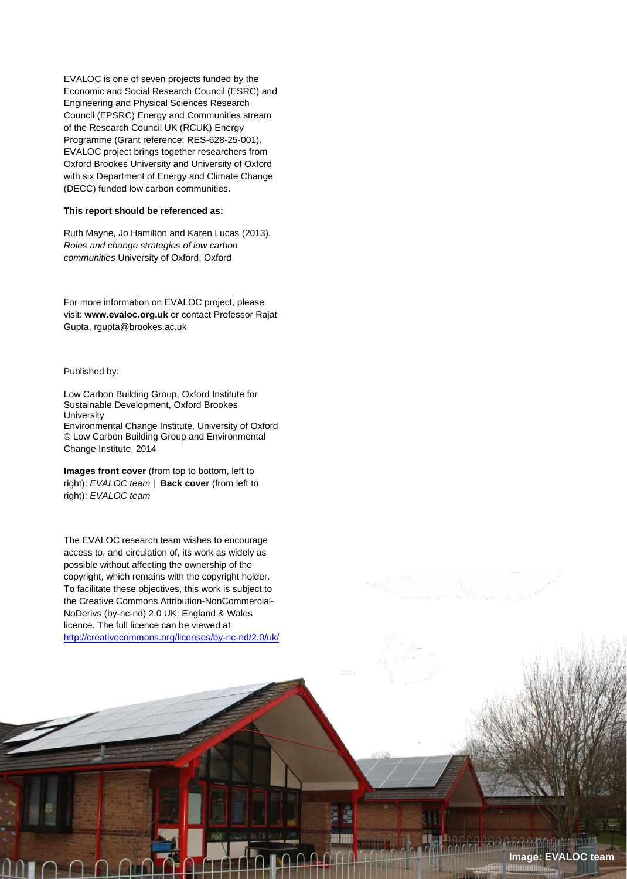EVALOC is one of seven projects funded by the Economic and Social Research Council (ESRC) and Engineering and Physical Sciences Research Council (EPSRC) Energy and Communities stream of the Research Council UK (RCUK) Energy Programme (Grant reference: RES-628-25-001). EVALOC project brings together researchers from Oxford Brookes University and University of Oxford with six Department of Energy and Climate Change (DECC) funded low carbon communities.

#### **This report should be referenced as:**

Ruth Mayne, Jo Hamilton and Karen Lucas (2013). *Roles and change strategies of low carbon communities* University of Oxford, Oxford

For more information on EVALOC project, please visit: **www.evaloc.org.uk** or contact Professor Rajat Gupta, rgupta@brookes.ac.uk

#### Published by:

i **|** Page

Low Carbon Building Group, Oxford Institute for Sustainable Development, Oxford Brookes **University** Environmental Change Institute, University of Oxford © Low Carbon Building Group and Environmental Change Institute, 2014

**Images front cover** (from top to bottom, left to right): *EVALOC team* | **Back cover** (from left to right): *EVALOC team*

The EVALOC research team wishes to encourage access to, and circulation of, its work as widely as possible without affecting the ownership of the copyright, which remains with the copyright holder. To facilitate these objectives, this work is subject to the Creative Commons Attribution-NonCommercial-NoDerivs (by-nc-nd) 2.0 UK: England & Wales licence. The full licence can be viewed at <http://creativecommons.org/licenses/by-nc-nd/2.0/uk/>

 $\mathcal{N}^{(1)}$ 

**Image: EVALOC team**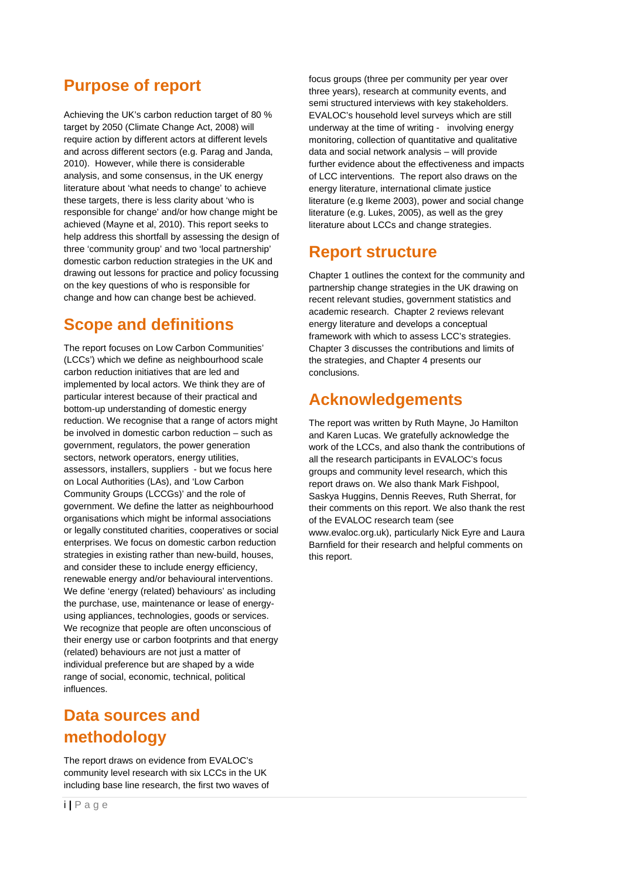# <span id="page-2-0"></span>**Purpose of report**

Achieving the UK's carbon reduction target of 80 % target by 2050 (Climate Change Act, 2008) will require action by different actors at different levels and across different sectors (e.g. Parag and Janda, 2010). However, while there is considerable analysis, and some consensus, in the UK energy literature about 'what needs to change' to achieve these targets, there is less clarity about 'who is responsible for change' and/or how change might be achieved (Mayne et al, 2010). This report seeks to help address this shortfall by assessing the design of three 'community group' and two 'local partnership' domestic carbon reduction strategies in the UK and drawing out lessons for practice and policy focussing on the key questions of who is responsible for change and how can change best be achieved.

# <span id="page-2-1"></span>**Scope and definitions**

The report focuses on Low Carbon Communities' (LCCs') which we define as neighbourhood scale carbon reduction initiatives that are led and implemented by local actors. We think they are of particular interest because of their practical and bottom-up understanding of domestic energy reduction. We recognise that a range of actors might be involved in domestic carbon reduction – such as government, regulators, the power generation sectors, network operators, energy utilities, assessors, installers, suppliers - but we focus here on Local Authorities (LAs), and 'Low Carbon Community Groups (LCCGs)' and the role of government. We define the latter as neighbourhood organisations which might be informal associations or legally constituted charities, cooperatives or social enterprises. We focus on domestic carbon reduction strategies in existing rather than new-build, houses, and consider these to include energy efficiency, renewable energy and/or behavioural interventions. We define 'energy (related) behaviours' as including the purchase, use, maintenance or lease of energyusing appliances, technologies, goods or services. We recognize that people are often unconscious of their energy use or carbon footprints and that energy (related) behaviours are not just a matter of individual preference but are shaped by a wide range of social, economic, technical, political influences.

# <span id="page-2-2"></span>**Data sources and methodology**

The report draws on evidence from EVALOC's community level research with six LCCs in the UK including base line research, the first two waves of focus groups (three per community per year over three years), research at community events, and semi structured interviews with key stakeholders. EVALOC's household level surveys which are still underway at the time of writing - involving energy monitoring, collection of quantitative and qualitative data and social network analysis – will provide further evidence about the effectiveness and impacts of LCC interventions. The report also draws on the energy literature, international climate justice literature (e.g Ikeme 2003), power and social change literature (e.g. Lukes, 2005), as well as the grey literature about LCCs and change strategies.

# <span id="page-2-3"></span>**Report structure**

Chapter 1 outlines the context for the community and partnership change strategies in the UK drawing on recent relevant studies, government statistics and academic research. Chapter 2 reviews relevant energy literature and develops a conceptual framework with which to assess LCC's strategies. Chapter 3 discusses the contributions and limits of the strategies, and Chapter 4 presents our conclusions.

# <span id="page-2-4"></span>**Acknowledgements**

The report was written by Ruth Mayne, Jo Hamilton and Karen Lucas. We gratefully acknowledge the work of the LCCs, and also thank the contributions of all the research participants in EVALOC's focus groups and community level research, which this report draws on. We also thank Mark Fishpool, Saskya Huggins, Dennis Reeves, Ruth Sherrat, for their comments on this report. We also thank the rest of the EVALOC research team (see www.evaloc.org.uk), particularly Nick Eyre and Laura Barnfield for their research and helpful comments on this report.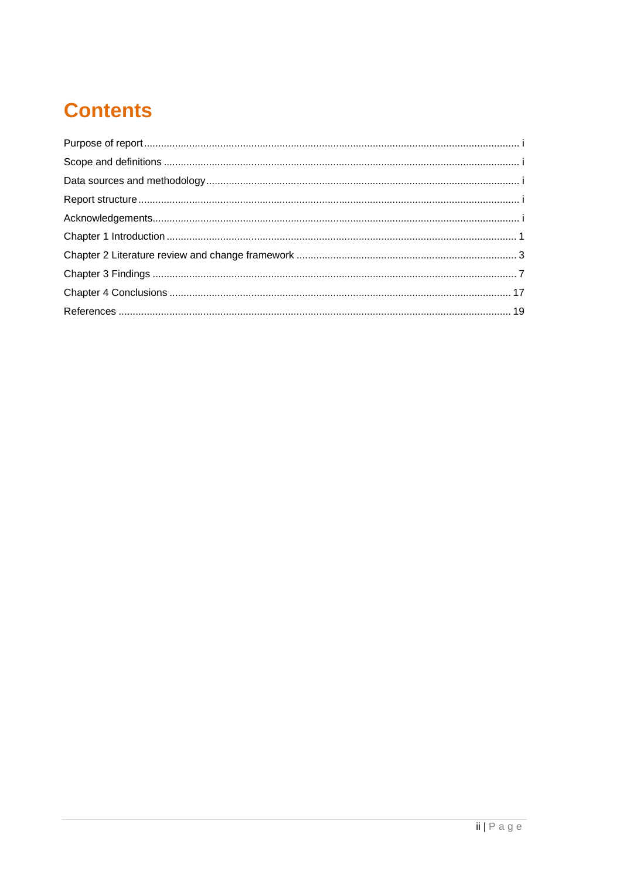# **Contents**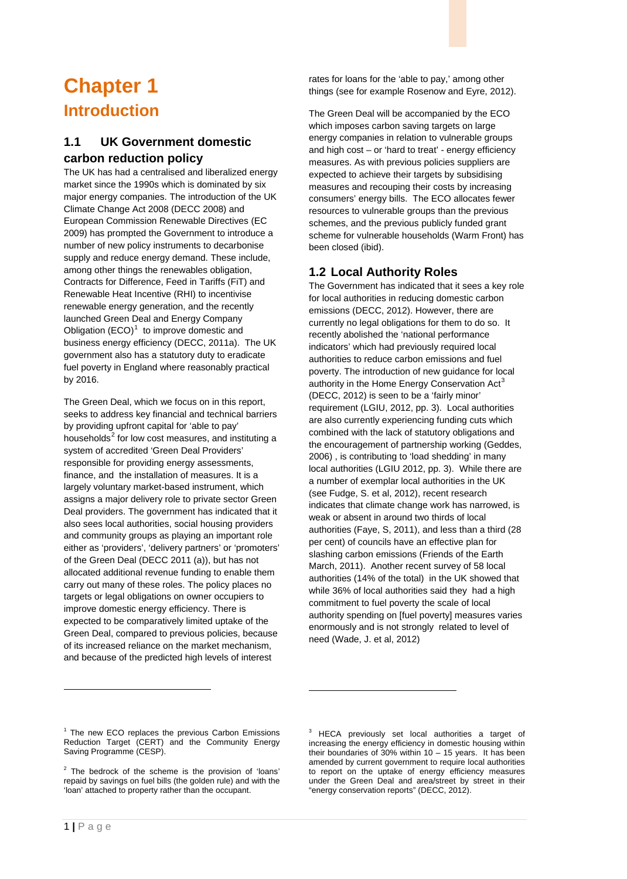# <span id="page-4-0"></span>**Chapter 1 Introduction**

# **1.1 UK Government domestic carbon reduction policy**

The UK has had a centralised and liberalized energy market since the 1990s which is dominated by six major energy companies. The introduction of the UK Climate Change Act 2008 (DECC 2008) and European Commission Renewable Directives (EC 2009) has prompted the Government to introduce a number of new policy instruments to decarbonise supply and reduce energy demand. These include, among other things the renewables obligation, Contracts for Difference, Feed in Tariffs (FiT) and Renewable Heat Incentive (RHI) to incentivise renewable energy generation, and the recently launched Green Deal and Energy Company Obligation  $(ECO)^1$  $(ECO)^1$  to improve domestic and business energy efficiency (DECC, 2011a). The UK government also has a statutory duty to eradicate fuel poverty in England where reasonably practical by 2016.

The Green Deal, which we focus on in this report, seeks to address key financial and technical barriers by providing upfront capital for 'able to pay' households<sup>[2](#page-4-2)</sup> for low cost measures, and instituting a system of accredited 'Green Deal Providers' responsible for providing energy assessments, finance, and the installation of measures. It is a largely voluntary market-based instrument, which assigns a major delivery role to private sector Green Deal providers. The government has indicated that it also sees local authorities, social housing providers and community groups as playing an important role either as 'providers', 'delivery partners' or 'promoters' of the Green Deal (DECC 2011 (a)), but has not allocated additional revenue funding to enable them carry out many of these roles. The policy places no targets or legal obligations on owner occupiers to improve domestic energy efficiency. There is expected to be comparatively limited uptake of the Green Deal, compared to previous policies, because of its increased reliance on the market mechanism, and because of the predicted high levels of interest

rates for loans for the 'able to pay,' among other things (see for example Rosenow and Eyre, 2012).

The Green Deal will be accompanied by the ECO which imposes carbon saving targets on large energy companies in relation to vulnerable groups and high cost – or 'hard to treat' - energy efficiency measures. As with previous policies suppliers are expected to achieve their targets by subsidising measures and recouping their costs by increasing consumers' energy bills. The ECO allocates fewer resources to vulnerable groups than the previous schemes, and the previous publicly funded grant scheme for vulnerable households (Warm Front) has been closed (ibid).

## **1.2 Local Authority Roles**

The Government has indicated that it sees a key role for local authorities in reducing domestic carbon emissions (DECC, 2012). However, there are currently no legal obligations for them to do so. It recently abolished the 'national performance indicators' which had previously required local authorities to reduce carbon emissions and fuel poverty. The introduction of new guidance for local authority in the Home Energy Conservation Act<sup>[3](#page-4-3)</sup> (DECC, 2012) is seen to be a 'fairly minor' requirement (LGIU, 2012, pp. 3). Local authorities are also currently experiencing funding cuts which combined with the lack of statutory obligations and the encouragement of partnership working (Geddes, 2006) , is contributing to 'load shedding' in many local authorities (LGIU 2012, pp. 3). While there are a number of exemplar local authorities in the UK (see Fudge, S. et al, 2012), recent research indicates that climate change work has narrowed, is weak or absent in around two thirds of local authorities (Faye, S, 2011), and less than a third (28 per cent) of councils have an effective plan for slashing carbon emissions (Friends of the Earth March, 2011). Another recent survey of 58 local authorities (14% of the total) in the UK showed that while 36% of local authorities said they had a high commitment to fuel poverty the scale of local authority spending on [fuel poverty] measures varies enormously and is not strongly related to level of need (Wade, J. et al, 2012)

-

j

<span id="page-4-3"></span><span id="page-4-1"></span> $1$  The new ECO replaces the previous Carbon Emissions Reduction Target (CERT) and the Community Energy Saving Programme (CESP).

<span id="page-4-2"></span> $2$  The bedrock of the scheme is the provision of 'loans' repaid by savings on fuel bills (the golden rule) and with the 'loan' attached to property rather than the occupant.

<sup>3</sup> HECA previously set local authorities a target of increasing the energy efficiency in domestic housing within their boundaries of  $30\%$  within  $10 - 15$  years. It has been amended by current government to require local authorities to report on the uptake of energy efficiency measures under the Green Deal and area/street by street in their "energy conservation reports" (DECC, 2012).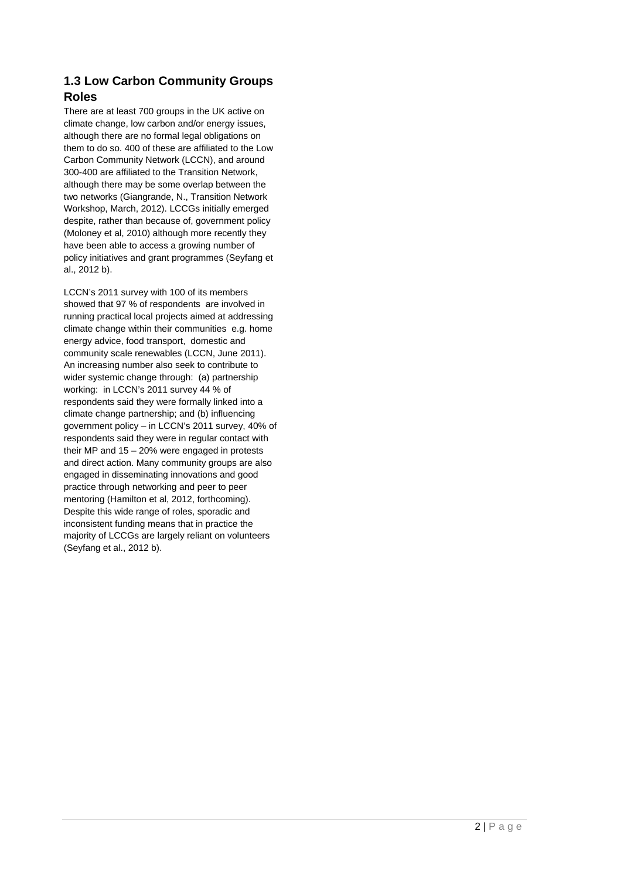# **1.3 Low Carbon Community Groups Roles**

There are at least 700 groups in the UK active on climate change, low carbon and/or energy issues, although there are no formal legal obligations on them to do so. 400 of these are affiliated to the Low Carbon Community Network (LCCN), and around 300-400 are affiliated to the Transition Network, although there may be some overlap between the two networks (Giangrande, N., Transition Network Workshop, March, 2012). LCCGs initially emerged despite, rather than because of, government policy (Moloney et al, 2010) although more recently they have been able to access a growing number of policy initiatives and grant programmes (Seyfang et al., 2012 b).

LCCN's 2011 survey with 100 of its members showed that 97 % of respondents are involved in running practical local projects aimed at addressing climate change within their communities e.g. home energy advice, food transport, domestic and community scale renewables (LCCN, June 2011). An increasing number also seek to contribute to wider systemic change through: (a) partnership working: in LCCN's 2011 survey 44 % of respondents said they were formally linked into a climate change partnership; and (b) influencing government policy – in LCCN's 2011 survey, 40% of respondents said they were in regular contact with their MP and 15 – 20% were engaged in protests and direct action. Many community groups are also engaged in disseminating innovations and good practice through networking and peer to peer mentoring (Hamilton et al, 2012, forthcoming). Despite this wide range of roles, sporadic and inconsistent funding means that in practice the majority of LCCGs are largely reliant on volunteers (Seyfang et al., 2012 b).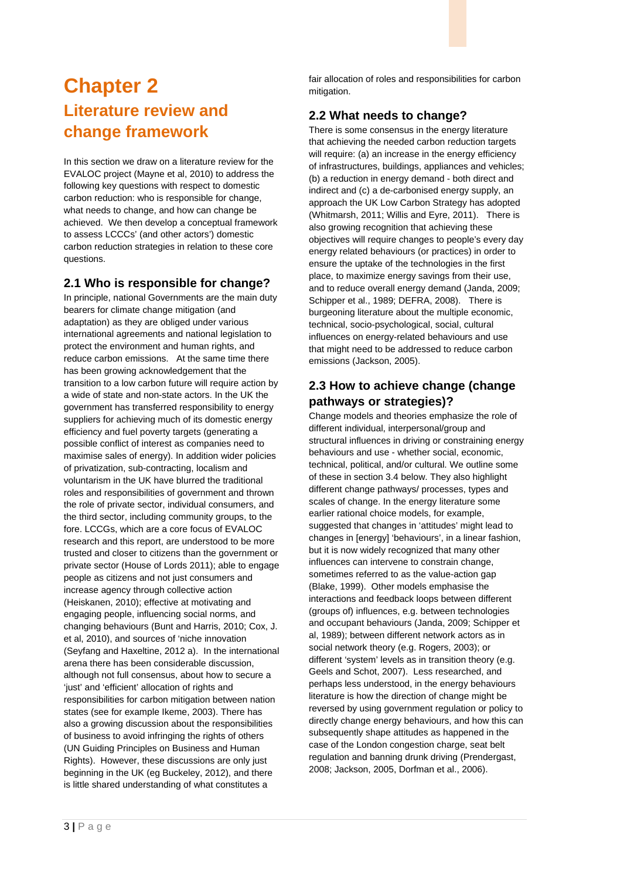# <span id="page-6-0"></span>**Chapter 2 Literature review and change framework**

In this section we draw on a literature review for the EVALOC project (Mayne et al, 2010) to address the following key questions with respect to domestic carbon reduction: who is responsible for change, what needs to change, and how can change be achieved. We then develop a conceptual framework to assess LCCCs' (and other actors') domestic carbon reduction strategies in relation to these core questions.

### **2.1 Who is responsible for change?**

In principle, national Governments are the main duty bearers for climate change mitigation (and adaptation) as they are obliged under various international agreements and national legislation to protect the environment and human rights, and reduce carbon emissions. At the same time there has been growing acknowledgement that the transition to a low carbon future will require action by a wide of state and non-state actors. In the UK the government has transferred responsibility to energy suppliers for achieving much of its domestic energy efficiency and fuel poverty targets (generating a possible conflict of interest as companies need to maximise sales of energy). In addition wider policies of privatization, sub-contracting, localism and voluntarism in the UK have blurred the traditional roles and responsibilities of government and thrown the role of private sector, individual consumers, and the third sector, including community groups, to the fore. LCCGs, which are a core focus of EVALOC research and this report, are understood to be more trusted and closer to citizens than the government or private sector (House of Lords 2011); able to engage people as citizens and not just consumers and increase agency through collective action (Heiskanen, 2010); effective at motivating and engaging people, influencing social norms, and changing behaviours (Bunt and Harris, 2010; Cox, J. et al, 2010), and sources of 'niche innovation (Seyfang and Haxeltine, 2012 a). In the international arena there has been considerable discussion, although not full consensus, about how to secure a 'just' and 'efficient' allocation of rights and responsibilities for carbon mitigation between nation states (see for example Ikeme, 2003). There has also a growing discussion about the responsibilities of business to avoid infringing the rights of others (UN Guiding Principles on Business and Human Rights). However, these discussions are only just beginning in the UK (eg Buckeley, 2012), and there is little shared understanding of what constitutes a

fair allocation of roles and responsibilities for carbon mitigation.

#### **2.2 What needs to change?**

There is some consensus in the energy literature that achieving the needed carbon reduction targets will require: (a) an increase in the energy efficiency of infrastructures, buildings, appliances and vehicles; (b) a reduction in energy demand - both direct and indirect and (c) a de-carbonised energy supply, an approach the UK Low Carbon Strategy has adopted (Whitmarsh, 2011; Willis and Eyre, 2011). There is also growing recognition that achieving these objectives will require changes to people's every day energy related behaviours (or practices) in order to ensure the uptake of the technologies in the first place, to maximize energy savings from their use, and to reduce overall energy demand (Janda, 2009; Schipper et al., 1989; DEFRA, 2008). There is burgeoning literature about the multiple economic, technical, socio-psychological, social, cultural influences on energy-related behaviours and use that might need to be addressed to reduce carbon emissions (Jackson, 2005).

## **2.3 How to achieve change (change pathways or strategies)?**

Change models and theories emphasize the role of different individual, interpersonal/group and structural influences in driving or constraining energy behaviours and use - whether social, economic, technical, political, and/or cultural. We outline some of these in section 3.4 below. They also highlight different change pathways/ processes, types and scales of change. In the energy literature some earlier rational choice models, for example, suggested that changes in 'attitudes' might lead to changes in [energy] 'behaviours', in a linear fashion, but it is now widely recognized that many other influences can intervene to constrain change, sometimes referred to as the value-action gap (Blake, 1999). Other models emphasise the interactions and feedback loops between different (groups of) influences, e.g. between technologies and occupant behaviours (Janda, 2009; Schipper et al, 1989); between different network actors as in social network theory (e.g. Rogers, 2003); or different 'system' levels as in transition theory (e.g. Geels and Schot, 2007). Less researched, and perhaps less understood, in the energy behaviours literature is how the direction of change might be reversed by using government regulation or policy to directly change energy behaviours, and how this can subsequently shape attitudes as happened in the case of the London congestion charge, seat belt regulation and banning drunk driving (Prendergast, 2008; Jackson, 2005, Dorfman et al., 2006).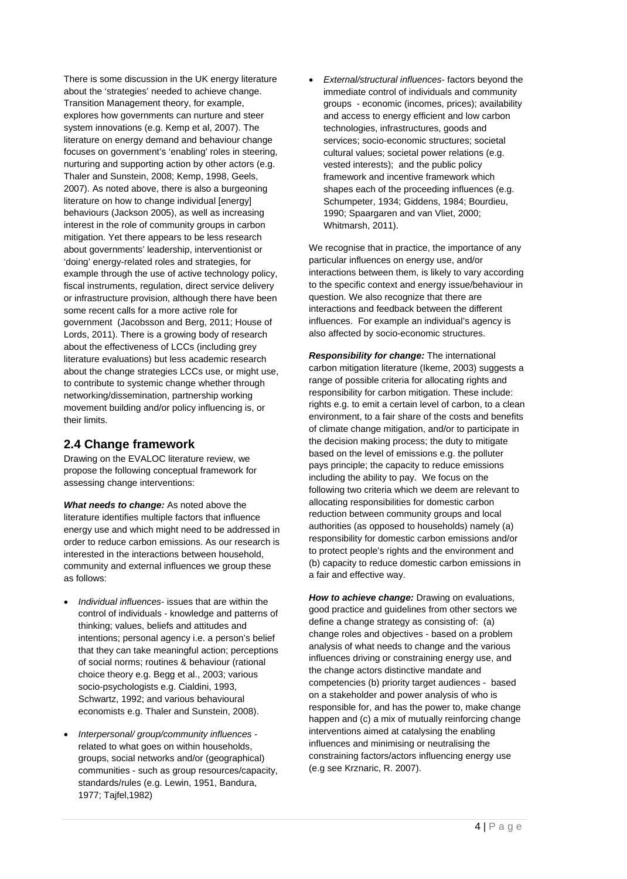There is some discussion in the UK energy literature about the 'strategies' needed to achieve change. Transition Management theory, for example, explores how governments can nurture and steer system innovations (e.g. Kemp et al, 2007). The literature on energy demand and behaviour change focuses on government's 'enabling' roles in steering, nurturing and supporting action by other actors (e.g. Thaler and Sunstein, 2008; Kemp, 1998, Geels, 2007). As noted above, there is also a burgeoning literature on how to change individual [energy] behaviours (Jackson 2005), as well as increasing interest in the role of community groups in carbon mitigation. Yet there appears to be less research about governments' leadership, interventionist or 'doing' energy-related roles and strategies, for example through the use of active technology policy, fiscal instruments, regulation, direct service delivery or infrastructure provision, although there have been some recent calls for a more active role for government (Jacobsson and Berg, 2011; House of Lords, 2011). There is a growing body of research about the effectiveness of LCCs (including grey literature evaluations) but less academic research about the change strategies LCCs use, or might use, to contribute to systemic change whether through networking/dissemination, partnership working movement building and/or policy influencing is, or their limits.

### **2.4 Change framework**

Drawing on the EVALOC literature review, we propose the following conceptual framework for assessing change interventions:

*What needs to change:* As noted above the literature identifies multiple factors that influence energy use and which might need to be addressed in order to reduce carbon emissions. As our research is interested in the interactions between household, community and external influences we group these as follows:

- *Individual influences* issues that are within the control of individuals - knowledge and patterns of thinking; values, beliefs and attitudes and intentions; personal agency i.e. a person's belief that they can take meaningful action; perceptions of social norms; routines & behaviour (rational choice theory e.g. Begg et al., 2003; various socio-psychologists e.g. Cialdini, 1993, Schwartz, 1992; and various behavioural economists e.g. Thaler and Sunstein, 2008).
- *Interpersonal/ group/community influences* related to what goes on within households, groups, social networks and/or (geographical) communities - such as group resources/capacity, standards/rules (e.g. Lewin, 1951, Bandura, 1977; Tajfel,1982)

• *External/structural influences-* factors beyond the immediate control of individuals and community groups - economic (incomes, prices); availability and access to energy efficient and low carbon technologies, infrastructures, goods and services; socio-economic structures; societal cultural values; societal power relations (e.g. vested interests); and the public policy framework and incentive framework which shapes each of the proceeding influences (e.g. Schumpeter, 1934; Giddens, 1984; Bourdieu, 1990; Spaargaren and van Vliet, 2000; Whitmarsh, 2011).

We recognise that in practice, the importance of any particular influences on energy use, and/or interactions between them, is likely to vary according to the specific context and energy issue/behaviour in question. We also recognize that there are interactions and feedback between the different influences. For example an individual's agency is also affected by socio-economic structures.

*Responsibility for change:* The international carbon mitigation literature (Ikeme, 2003) suggests a range of possible criteria for allocating rights and responsibility for carbon mitigation. These include: rights e.g. to emit a certain level of carbon, to a clean environment, to a fair share of the costs and benefits of climate change mitigation, and/or to participate in the decision making process; the duty to mitigate based on the level of emissions e.g. the polluter pays principle; the capacity to reduce emissions including the ability to pay. We focus on the following two criteria which we deem are relevant to allocating responsibilities for domestic carbon reduction between community groups and local authorities (as opposed to households) namely (a) responsibility for domestic carbon emissions and/or to protect people's rights and the environment and (b) capacity to reduce domestic carbon emissions in a fair and effective way.

*How to achieve change:* Drawing on evaluations, good practice and guidelines from other sectors we define a change strategy as consisting of: (a) change roles and objectives - based on a problem analysis of what needs to change and the various influences driving or constraining energy use, and the change actors distinctive mandate and competencies (b) priority target audiences - based on a stakeholder and power analysis of who is responsible for, and has the power to, make change happen and (c) a mix of mutually reinforcing change interventions aimed at catalysing the enabling influences and minimising or neutralising the constraining factors/actors influencing energy use (e.g see Krznaric, R. 2007).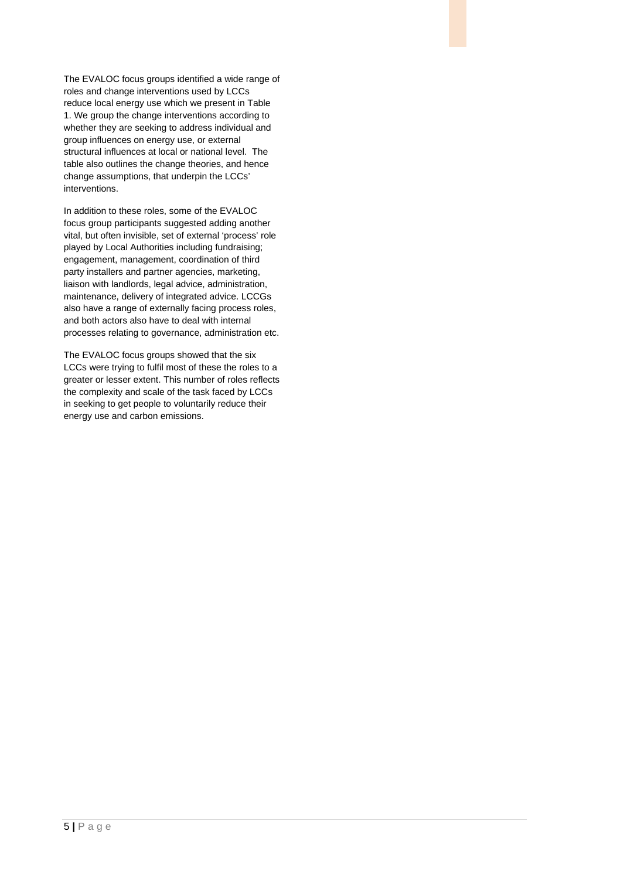The EVALOC focus groups identified a wide range of roles and change interventions used by LCCs reduce local energy use which we present in Table 1. We group the change interventions according to whether they are seeking to address individual and group influences on energy use, or external structural influences at local or national level. The table also outlines the change theories, and hence change assumptions, that underpin the LCCs' interventions.

In addition to these roles, some of the EVALOC focus group participants suggested adding another vital, but often invisible, set of external 'process' role played by Local Authorities including fundraising; engagement, management, coordination of third party installers and partner agencies, marketing, liaison with landlords, legal advice, administration, maintenance, delivery of integrated advice. LCCGs also have a range of externally facing process roles, and both actors also have to deal with internal processes relating to governance, administration etc.

The EVALOC focus groups showed that the six LCCs were trying to fulfil most of these the roles to a greater or lesser extent. This number of roles reflects the complexity and scale of the task faced by LCCs in seeking to get people to voluntarily reduce their energy use and carbon emissions.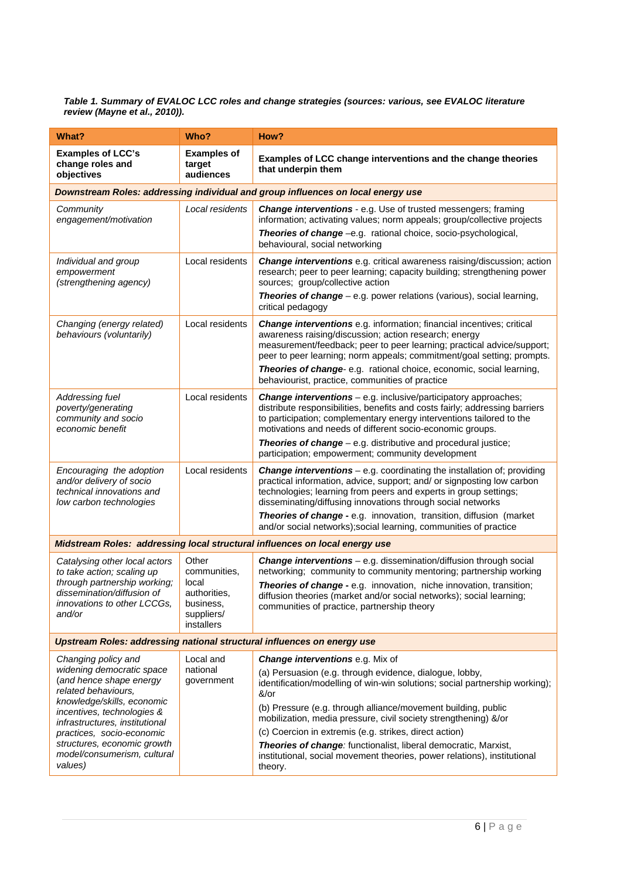#### *Table 1. Summary of EVALOC LCC roles and change strategies (sources: various, see EVALOC literature review (Mayne et al., 2010)).*

| What?                                                                                                        | Who?                                                                                                                                                                                                                           | How?                                                                                                                                                                                                                                                                                                                                                                |  |  |  |
|--------------------------------------------------------------------------------------------------------------|--------------------------------------------------------------------------------------------------------------------------------------------------------------------------------------------------------------------------------|---------------------------------------------------------------------------------------------------------------------------------------------------------------------------------------------------------------------------------------------------------------------------------------------------------------------------------------------------------------------|--|--|--|
| <b>Examples of LCC's</b><br>change roles and<br>objectives                                                   | <b>Examples of</b><br>target<br>audiences                                                                                                                                                                                      | Examples of LCC change interventions and the change theories<br>that underpin them                                                                                                                                                                                                                                                                                  |  |  |  |
| Downstream Roles: addressing individual and group influences on local energy use                             |                                                                                                                                                                                                                                |                                                                                                                                                                                                                                                                                                                                                                     |  |  |  |
| Community<br>engagement/motivation                                                                           | Local residents<br>Change interventions - e.g. Use of trusted messengers; framing<br>information; activating values; norm appeals; group/collective projects<br>Theories of change -e.g. rational choice, socio-psychological, |                                                                                                                                                                                                                                                                                                                                                                     |  |  |  |
|                                                                                                              |                                                                                                                                                                                                                                | behavioural, social networking                                                                                                                                                                                                                                                                                                                                      |  |  |  |
| Individual and group<br>empowerment<br>(strengthening agency)                                                | Local residents                                                                                                                                                                                                                | <b>Change interventions</b> e.g. critical awareness raising/discussion; action<br>research; peer to peer learning; capacity building; strengthening power<br>sources; group/collective action                                                                                                                                                                       |  |  |  |
|                                                                                                              |                                                                                                                                                                                                                                | <b>Theories of change</b> $-$ e.g. power relations (various), social learning,<br>critical pedagogy                                                                                                                                                                                                                                                                 |  |  |  |
| Changing (energy related)<br>behaviours (voluntarily)                                                        | Local residents                                                                                                                                                                                                                | <b>Change interventions</b> e.g. information; financial incentives; critical<br>awareness raising/discussion; action research; energy<br>measurement/feedback; peer to peer learning; practical advice/support;<br>peer to peer learning; norm appeals; commitment/goal setting; prompts.<br>Theories of change-e.g. rational choice, economic, social learning,    |  |  |  |
|                                                                                                              |                                                                                                                                                                                                                                | behaviourist, practice, communities of practice                                                                                                                                                                                                                                                                                                                     |  |  |  |
| Addressing fuel<br>poverty/generating<br>community and socio<br>economic benefit                             | Local residents                                                                                                                                                                                                                | <b>Change interventions</b> - e.g. inclusive/participatory approaches;<br>distribute responsibilities, benefits and costs fairly; addressing barriers<br>to participation; complementary energy interventions tailored to the<br>motivations and needs of different socio-economic groups.<br><b>Theories of change</b> - e.g. distributive and procedural justice; |  |  |  |
|                                                                                                              |                                                                                                                                                                                                                                | participation; empowerment; community development                                                                                                                                                                                                                                                                                                                   |  |  |  |
| Encouraging the adoption<br>and/or delivery of socio<br>technical innovations and<br>low carbon technologies | Local residents                                                                                                                                                                                                                | <b>Change interventions</b> – e.g. coordinating the installation of; providing<br>practical information, advice, support; and/ or signposting low carbon<br>technologies; learning from peers and experts in group settings;<br>disseminating/diffusing innovations through social networks                                                                         |  |  |  |
|                                                                                                              |                                                                                                                                                                                                                                | Theories of change - e.g. innovation, transition, diffusion (market<br>and/or social networks); social learning, communities of practice                                                                                                                                                                                                                            |  |  |  |
|                                                                                                              |                                                                                                                                                                                                                                | Midstream Roles: addressing local structural influences on local energy use                                                                                                                                                                                                                                                                                         |  |  |  |
| Catalysing other local actors<br>to take action; scaling up                                                  | Other<br>communities,<br>local<br>authorities,<br>business,<br>suppliers/<br>installers                                                                                                                                        | Change interventions - e.g. dissemination/diffusion through social<br>networking; community to community mentoring; partnership working                                                                                                                                                                                                                             |  |  |  |
| through partnership working;<br>dissemination/diffusion of<br>innovations to other LCCGs,<br>and/or          |                                                                                                                                                                                                                                | Theories of change - e.g. innovation, niche innovation, transition;<br>diffusion theories (market and/or social networks); social learning;<br>communities of practice, partnership theory                                                                                                                                                                          |  |  |  |
| <b>Upstream Roles: addressing national structural influences on energy use</b>                               |                                                                                                                                                                                                                                |                                                                                                                                                                                                                                                                                                                                                                     |  |  |  |
| Changing policy and                                                                                          | Local and<br>national<br>government                                                                                                                                                                                            | <b>Change interventions e.g. Mix of</b>                                                                                                                                                                                                                                                                                                                             |  |  |  |
| widening democratic space<br>(and hence shape energy<br>related behaviours,                                  |                                                                                                                                                                                                                                | (a) Persuasion (e.g. through evidence, dialogue, lobby,<br>identification/modelling of win-win solutions; social partnership working);<br>$&\sqrt{or}$                                                                                                                                                                                                              |  |  |  |
| knowledge/skills, economic<br>incentives, technologies &<br>infrastructures, institutional                   |                                                                                                                                                                                                                                | (b) Pressure (e.g. through alliance/movement building, public<br>mobilization, media pressure, civil society strengthening) &/or                                                                                                                                                                                                                                    |  |  |  |
| practices, socio-economic<br>structures, economic growth                                                     |                                                                                                                                                                                                                                | (c) Coercion in extremis (e.g. strikes, direct action)                                                                                                                                                                                                                                                                                                              |  |  |  |
| model/consumerism, cultural<br>values)                                                                       |                                                                                                                                                                                                                                | Theories of change: functionalist, liberal democratic, Marxist,<br>institutional, social movement theories, power relations), institutional<br>theory.                                                                                                                                                                                                              |  |  |  |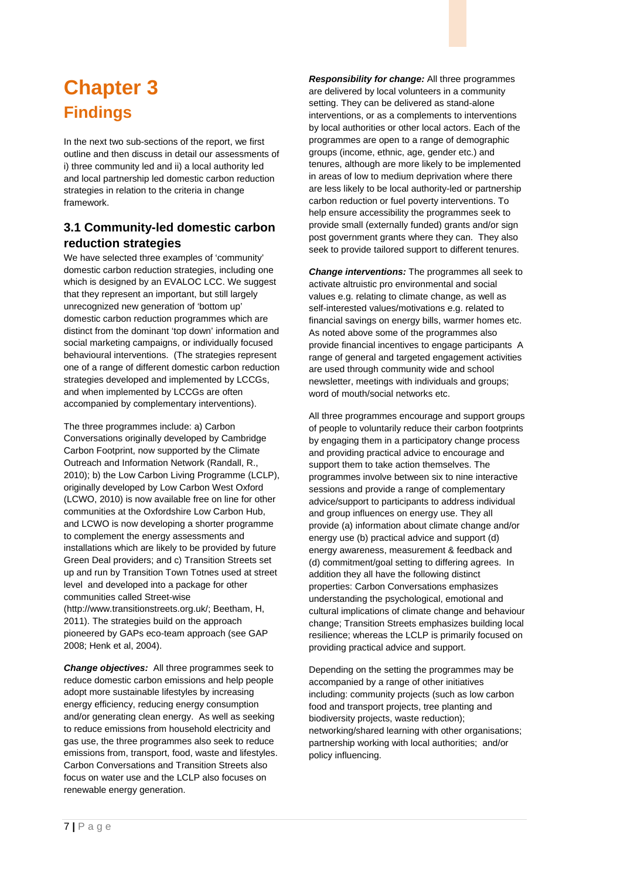# <span id="page-10-0"></span>**Chapter 3 Findings**

In the next two sub-sections of the report, we first outline and then discuss in detail our assessments of i) three community led and ii) a local authority led and local partnership led domestic carbon reduction strategies in relation to the criteria in change framework.

## **3.1 Community-led domestic carbon reduction strategies**

We have selected three examples of 'community' domestic carbon reduction strategies, including one which is designed by an EVALOC LCC. We suggest that they represent an important, but still largely unrecognized new generation of 'bottom up' domestic carbon reduction programmes which are distinct from the dominant 'top down' information and social marketing campaigns, or individually focused behavioural interventions. (The strategies represent one of a range of different domestic carbon reduction strategies developed and implemented by LCCGs, and when implemented by LCCGs are often accompanied by complementary interventions).

The three programmes include: a) Carbon Conversations originally developed by Cambridge Carbon Footprint, now supported by the Climate Outreach and Information Network (Randall, R., 2010); b) the Low Carbon Living Programme (LCLP), originally developed by Low Carbon West Oxford (LCWO, 2010) is now available free on line for other communities at the Oxfordshire Low Carbon Hub, and LCWO is now developing a shorter programme to complement the energy assessments and installations which are likely to be provided by future Green Deal providers; and c) Transition Streets set up and run by Transition Town Totnes used at street level and developed into a package for other communities called Street-wise (http://www.transitionstreets.org.uk/; Beetham, H, 2011). The strategies build on the approach pioneered by GAPs eco-team approach (see GAP 2008; Henk et al, 2004).

*Change objectives:* All three programmes seek to reduce domestic carbon emissions and help people adopt more sustainable lifestyles by increasing energy efficiency, reducing energy consumption and/or generating clean energy. As well as seeking to reduce emissions from household electricity and gas use, the three programmes also seek to reduce emissions from, transport, food, waste and lifestyles. Carbon Conversations and Transition Streets also focus on water use and the LCLP also focuses on renewable energy generation.

*Responsibility for change:* All three programmes are delivered by local volunteers in a community setting. They can be delivered as stand-alone interventions, or as a complements to interventions by local authorities or other local actors. Each of the programmes are open to a range of demographic groups (income, ethnic, age, gender etc.) and tenures, although are more likely to be implemented in areas of low to medium deprivation where there are less likely to be local authority-led or partnership carbon reduction or fuel poverty interventions. To help ensure accessibility the programmes seek to provide small (externally funded) grants and/or sign post government grants where they can. They also seek to provide tailored support to different tenures.

*Change interventions:* The programmes all seek to activate altruistic pro environmental and social values e.g. relating to climate change, as well as self-interested values/motivations e.g. related to financial savings on energy bills, warmer homes etc. As noted above some of the programmes also provide financial incentives to engage participants A range of general and targeted engagement activities are used through community wide and school newsletter, meetings with individuals and groups; word of mouth/social networks etc.

All three programmes encourage and support groups of people to voluntarily reduce their carbon footprints by engaging them in a participatory change process and providing practical advice to encourage and support them to take action themselves. The programmes involve between six to nine interactive sessions and provide a range of complementary advice/support to participants to address individual and group influences on energy use. They all provide (a) information about climate change and/or energy use (b) practical advice and support (d) energy awareness, measurement & feedback and (d) commitment/goal setting to differing agrees. In addition they all have the following distinct properties: Carbon Conversations emphasizes understanding the psychological, emotional and cultural implications of climate change and behaviour change; Transition Streets emphasizes building local resilience; whereas the LCLP is primarily focused on providing practical advice and support.

Depending on the setting the programmes may be accompanied by a range of other initiatives including: community projects (such as low carbon food and transport projects, tree planting and biodiversity projects, waste reduction); networking/shared learning with other organisations; partnership working with local authorities; and/or policy influencing.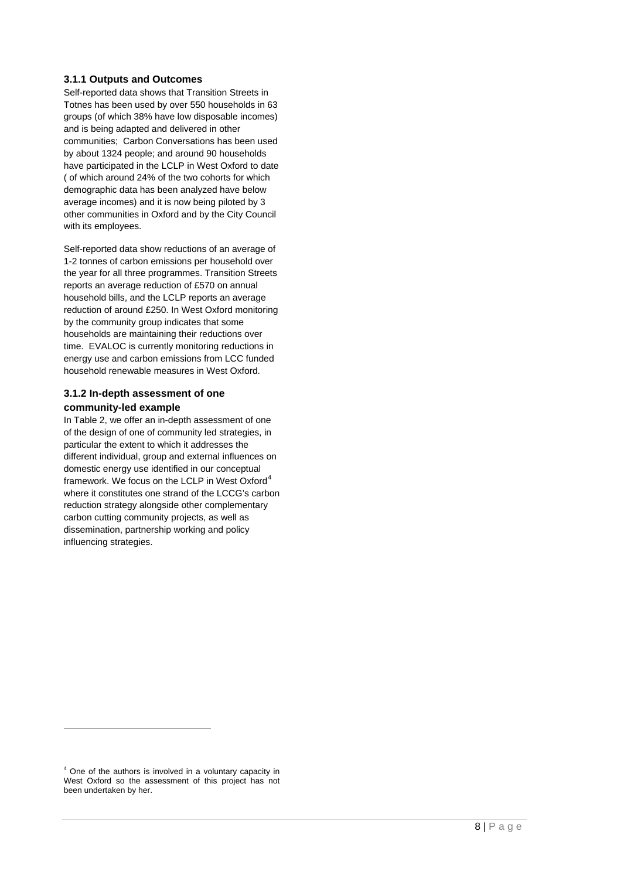#### **3.1.1 Outputs and Outcomes**

Self-reported data shows that Transition Streets in Totnes has been used by over 550 households in 63 groups (of which 38% have low disposable incomes) and is being adapted and delivered in other communities; Carbon Conversations has been used by about 1324 people; and around 90 households have participated in the LCLP in West Oxford to date ( of which around 24% of the two cohorts for which demographic data has been analyzed have below average incomes) and it is now being piloted by 3 other communities in Oxford and by the City Council with its employees.

Self-reported data show reductions of an average of 1-2 tonnes of carbon emissions per household over the year for all three programmes. Transition Streets reports an average reduction of £570 on annual household bills, and the LCLP reports an average reduction of around £250. In West Oxford monitoring by the community group indicates that some households are maintaining their reductions over time. EVALOC is currently monitoring reductions in energy use and carbon emissions from LCC funded household renewable measures in West Oxford.

#### **3.1.2 In-depth assessment of one community-led example**

In Table 2, we offer an in-depth assessment of one of the design of one of community led strategies, in particular the extent to which it addresses the different individual, group and external influences on domestic energy use identified in our conceptual framework. We focus on the LCLP in West Oxford<sup>[4](#page-11-0)</sup> where it constitutes one strand of the LCCG's carbon reduction strategy alongside other complementary carbon cutting community projects, as well as dissemination, partnership working and policy influencing strategies.

-

<span id="page-11-0"></span><sup>4</sup> One of the authors is involved in a voluntary capacity in West Oxford so the assessment of this project has not been undertaken by her.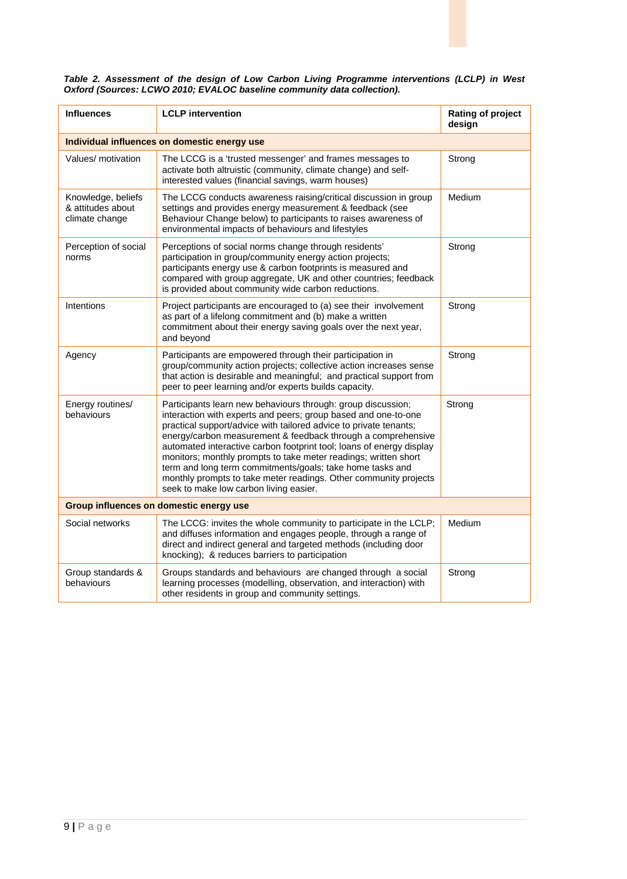|                                                                         |  |  | Table 2. Assessment of the design of Low Carbon Living Programme interventions (LCLP) in West |  |  |
|-------------------------------------------------------------------------|--|--|-----------------------------------------------------------------------------------------------|--|--|
| Oxford (Sources: LCWO 2010; EVALOC baseline community data collection). |  |  |                                                                                               |  |  |

| <b>Influences</b>                                         | <b>LCLP</b> intervention                                                                                                                                                                                                                                                                                                                                                                                                                                                                                                                                                                  | Rating of project<br>design |  |  |  |  |
|-----------------------------------------------------------|-------------------------------------------------------------------------------------------------------------------------------------------------------------------------------------------------------------------------------------------------------------------------------------------------------------------------------------------------------------------------------------------------------------------------------------------------------------------------------------------------------------------------------------------------------------------------------------------|-----------------------------|--|--|--|--|
| Individual influences on domestic energy use              |                                                                                                                                                                                                                                                                                                                                                                                                                                                                                                                                                                                           |                             |  |  |  |  |
| Values/ motivation                                        | The LCCG is a 'trusted messenger' and frames messages to<br>activate both altruistic (community, climate change) and self-<br>interested values (financial savings, warm houses)                                                                                                                                                                                                                                                                                                                                                                                                          | Strong                      |  |  |  |  |
| Knowledge, beliefs<br>& attitudes about<br>climate change | The LCCG conducts awareness raising/critical discussion in group<br>settings and provides energy measurement & feedback (see<br>Behaviour Change below) to participants to raises awareness of<br>environmental impacts of behaviours and lifestyles                                                                                                                                                                                                                                                                                                                                      | Medium                      |  |  |  |  |
| Perception of social<br>norms                             | Perceptions of social norms change through residents'<br>participation in group/community energy action projects;<br>participants energy use & carbon footprints is measured and<br>compared with group aggregate, UK and other countries; feedback<br>is provided about community wide carbon reductions.                                                                                                                                                                                                                                                                                | Strong                      |  |  |  |  |
| Intentions                                                | Project participants are encouraged to (a) see their involvement<br>as part of a lifelong commitment and (b) make a written<br>commitment about their energy saving goals over the next year,<br>and beyond                                                                                                                                                                                                                                                                                                                                                                               | Strong                      |  |  |  |  |
| Agency                                                    | Participants are empowered through their participation in<br>group/community action projects; collective action increases sense<br>that action is desirable and meaningful; and practical support from<br>peer to peer learning and/or experts builds capacity.                                                                                                                                                                                                                                                                                                                           | Strong                      |  |  |  |  |
| Energy routines/<br>behaviours                            | Participants learn new behaviours through: group discussion;<br>interaction with experts and peers; group based and one-to-one<br>practical support/advice with tailored advice to private tenants;<br>energy/carbon measurement & feedback through a comprehensive<br>automated interactive carbon footprint tool; loans of energy display<br>monitors; monthly prompts to take meter readings; written short<br>term and long term commitments/goals; take home tasks and<br>monthly prompts to take meter readings. Other community projects<br>seek to make low carbon living easier. | Strong                      |  |  |  |  |
| Group influences on domestic energy use                   |                                                                                                                                                                                                                                                                                                                                                                                                                                                                                                                                                                                           |                             |  |  |  |  |
| Social networks                                           | The LCCG: invites the whole community to participate in the LCLP;<br>and diffuses information and engages people, through a range of<br>direct and indirect general and targeted methods (including door<br>knocking); & reduces barriers to participation                                                                                                                                                                                                                                                                                                                                | Medium                      |  |  |  |  |
| Group standards &<br>behaviours                           | Groups standards and behaviours are changed through a social<br>learning processes (modelling, observation, and interaction) with<br>other residents in group and community settings.                                                                                                                                                                                                                                                                                                                                                                                                     | Strong                      |  |  |  |  |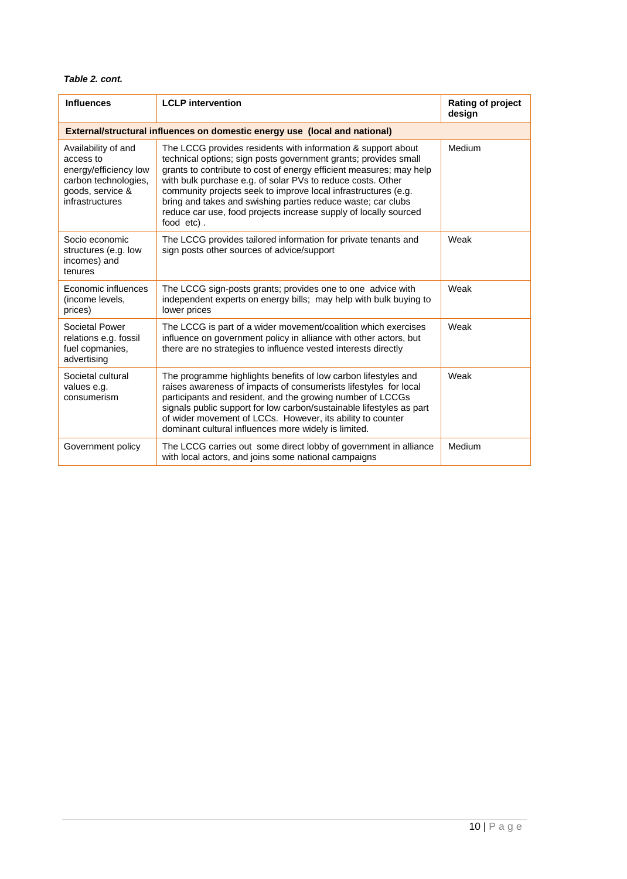#### *Table 2. cont.*

| <b>Influences</b>                                                                                                        | <b>LCLP</b> intervention                                                                                                                                                                                                                                                                                                                                                                                                                                                                  | Rating of project<br>design |  |  |  |  |
|--------------------------------------------------------------------------------------------------------------------------|-------------------------------------------------------------------------------------------------------------------------------------------------------------------------------------------------------------------------------------------------------------------------------------------------------------------------------------------------------------------------------------------------------------------------------------------------------------------------------------------|-----------------------------|--|--|--|--|
| External/structural influences on domestic energy use (local and national)                                               |                                                                                                                                                                                                                                                                                                                                                                                                                                                                                           |                             |  |  |  |  |
| Availability of and<br>access to<br>energy/efficiency low<br>carbon technologies,<br>goods, service &<br>infrastructures | The LCCG provides residents with information & support about<br>technical options; sign posts government grants; provides small<br>grants to contribute to cost of energy efficient measures; may help<br>with bulk purchase e.g. of solar PVs to reduce costs. Other<br>community projects seek to improve local infrastructures (e.g.<br>bring and takes and swishing parties reduce waste; car clubs<br>reduce car use, food projects increase supply of locally sourced<br>food etc). | Medium                      |  |  |  |  |
| Socio economic<br>structures (e.g. low<br>incomes) and<br>tenures                                                        | The LCCG provides tailored information for private tenants and<br>sign posts other sources of advice/support                                                                                                                                                                                                                                                                                                                                                                              | Weak                        |  |  |  |  |
| Economic influences<br>(income levels,<br>prices)                                                                        | The LCCG sign-posts grants; provides one to one advice with<br>independent experts on energy bills; may help with bulk buying to<br>lower prices                                                                                                                                                                                                                                                                                                                                          | Weak                        |  |  |  |  |
| Societal Power<br>relations e.g. fossil<br>fuel copmanies,<br>advertising                                                | The LCCG is part of a wider movement/coalition which exercises<br>influence on government policy in alliance with other actors, but<br>there are no strategies to influence vested interests directly                                                                                                                                                                                                                                                                                     | Weak                        |  |  |  |  |
| Societal cultural<br>values e.g.<br>consumerism                                                                          | The programme highlights benefits of low carbon lifestyles and<br>raises awareness of impacts of consumerists lifestyles for local<br>participants and resident, and the growing number of LCCGs<br>signals public support for low carbon/sustainable lifestyles as part<br>of wider movement of LCCs. However, its ability to counter<br>dominant cultural influences more widely is limited.                                                                                            | Weak                        |  |  |  |  |
| Government policy                                                                                                        | The LCCG carries out some direct lobby of government in alliance<br>with local actors, and joins some national campaigns                                                                                                                                                                                                                                                                                                                                                                  | Medium                      |  |  |  |  |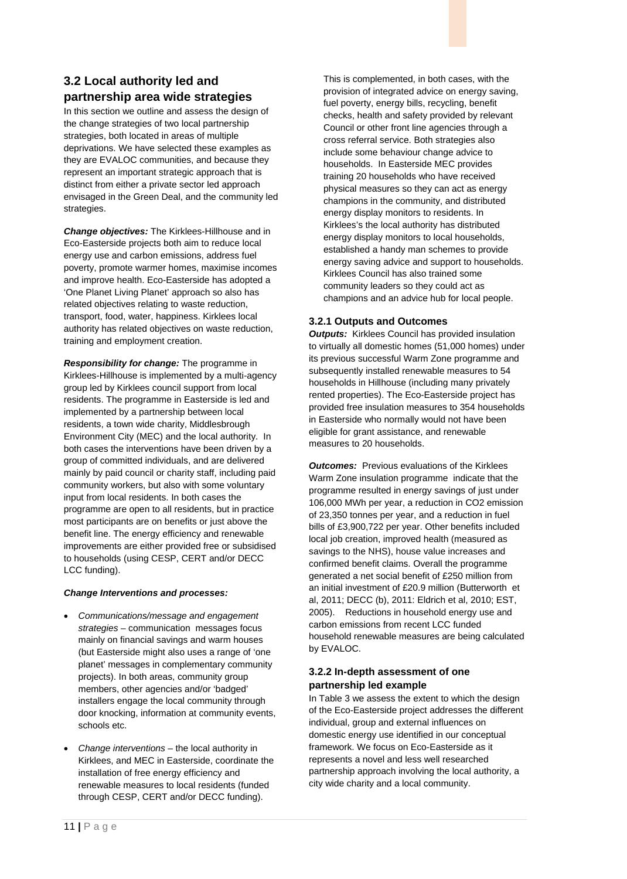## **3.2 Local authority led and partnership area wide strategies**

In this section we outline and assess the design of the change strategies of two local partnership strategies, both located in areas of multiple deprivations. We have selected these examples as they are EVALOC communities, and because they represent an important strategic approach that is distinct from either a private sector led approach envisaged in the Green Deal, and the community led strategies.

*Change objectives:* The Kirklees-Hillhouse and in Eco-Easterside projects both aim to reduce local energy use and carbon emissions, address fuel poverty, promote warmer homes, maximise incomes and improve health. Eco-Easterside has adopted a 'One Planet Living Planet' approach so also has related objectives relating to waste reduction, transport, food, water, happiness. Kirklees local authority has related objectives on waste reduction, training and employment creation.

*Responsibility for change:* The programme in Kirklees-Hillhouse is implemented by a multi-agency group led by Kirklees council support from local residents. The programme in Easterside is led and implemented by a partnership between local residents, a town wide charity, Middlesbrough Environment City (MEC) and the local authority. In both cases the interventions have been driven by a group of committed individuals, and are delivered mainly by paid council or charity staff, including paid community workers, but also with some voluntary input from local residents. In both cases the programme are open to all residents, but in practice most participants are on benefits or just above the benefit line. The energy efficiency and renewable improvements are either provided free or subsidised to households (using CESP, CERT and/or DECC LCC funding).

#### *Change Interventions and processes:*

- *Communications/message and engagement strategies* – communication messages focus mainly on financial savings and warm houses (but Easterside might also uses a range of 'one planet' messages in complementary community projects). In both areas, community group members, other agencies and/or 'badged' installers engage the local community through door knocking, information at community events, schools etc.
- *Change interventions* the local authority in Kirklees, and MEC in Easterside, coordinate the installation of free energy efficiency and renewable measures to local residents (funded through CESP, CERT and/or DECC funding).

This is complemented, in both cases, with the provision of integrated advice on energy saving, fuel poverty, energy bills, recycling, benefit checks, health and safety provided by relevant Council or other front line agencies through a cross referral service. Both strategies also include some behaviour change advice to households. In Easterside MEC provides training 20 households who have received physical measures so they can act as energy champions in the community, and distributed energy display monitors to residents. In Kirklees's the local authority has distributed energy display monitors to local households, established a handy man schemes to provide energy saving advice and support to households. Kirklees Council has also trained some community leaders so they could act as champions and an advice hub for local people.

#### **3.2.1 Outputs and Outcomes**

*Outputs:* Kirklees Council has provided insulation to virtually all domestic homes (51,000 homes) under its previous successful Warm Zone programme and subsequently installed renewable measures to 54 households in Hillhouse (including many privately rented properties). The Eco-Easterside project has provided free insulation measures to 354 households in Easterside who normally would not have been eligible for grant assistance, and renewable measures to 20 households.

*Outcomes:* Previous evaluations of the Kirklees Warm Zone insulation programme indicate that the programme resulted in energy savings of just under 106,000 MWh per year, a reduction in CO2 emission of 23,350 tonnes per year, and a reduction in fuel bills of £3,900,722 per year. Other benefits included local job creation, improved health (measured as savings to the NHS), house value increases and confirmed benefit claims. Overall the programme generated a net social benefit of £250 million from an initial investment of £20.9 million (Butterworth et al, 2011; DECC (b), 2011: Eldrich et al, 2010; EST, 2005). Reductions in household energy use and carbon emissions from recent LCC funded household renewable measures are being calculated by EVALOC.

#### **3.2.2 In-depth assessment of one partnership led example**

In Table 3 we assess the extent to which the design of the Eco-Easterside project addresses the different individual, group and external influences on domestic energy use identified in our conceptual framework. We focus on Eco-Easterside as it represents a novel and less well researched partnership approach involving the local authority, a city wide charity and a local community.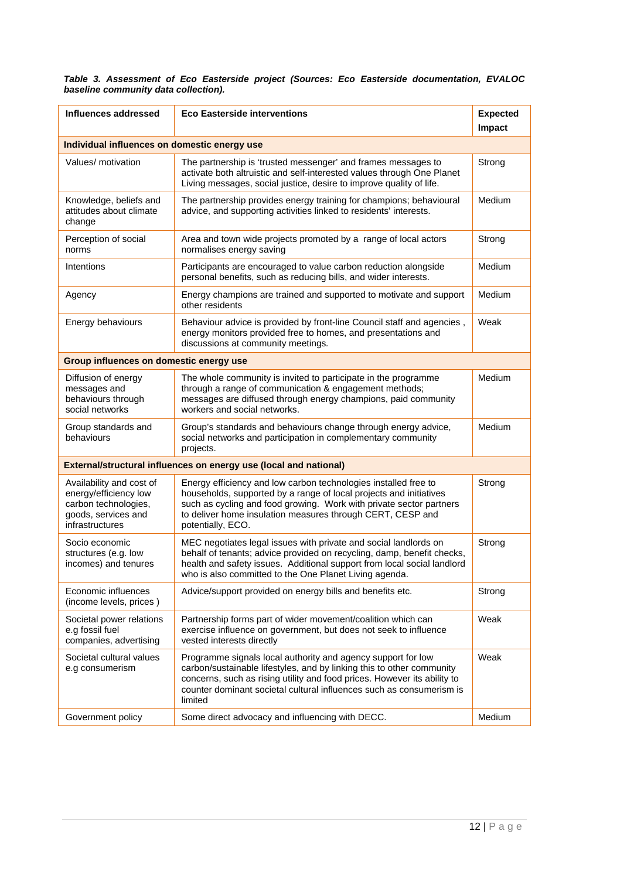#### *Table 3. Assessment of Eco Easterside project (Sources: Eco Easterside documentation, EVALOC baseline community data collection).*

| Influences addressed                                                                                                | <b>Eco Easterside interventions</b>                                                                                                                                                                                                                                                                  | <b>Expected</b><br>Impact |  |  |  |  |  |
|---------------------------------------------------------------------------------------------------------------------|------------------------------------------------------------------------------------------------------------------------------------------------------------------------------------------------------------------------------------------------------------------------------------------------------|---------------------------|--|--|--|--|--|
| Individual influences on domestic energy use                                                                        |                                                                                                                                                                                                                                                                                                      |                           |  |  |  |  |  |
| Values/ motivation                                                                                                  | The partnership is 'trusted messenger' and frames messages to<br>activate both altruistic and self-interested values through One Planet<br>Living messages, social justice, desire to improve quality of life.                                                                                       | Strong                    |  |  |  |  |  |
| Knowledge, beliefs and<br>attitudes about climate<br>change                                                         | The partnership provides energy training for champions; behavioural<br>advice, and supporting activities linked to residents' interests.                                                                                                                                                             | Medium                    |  |  |  |  |  |
| Perception of social<br>norms                                                                                       | Area and town wide projects promoted by a range of local actors<br>normalises energy saving                                                                                                                                                                                                          | Strong                    |  |  |  |  |  |
| Intentions                                                                                                          | Participants are encouraged to value carbon reduction alongside<br>personal benefits, such as reducing bills, and wider interests.                                                                                                                                                                   | Medium                    |  |  |  |  |  |
| Agency                                                                                                              | Energy champions are trained and supported to motivate and support<br>other residents                                                                                                                                                                                                                | Medium                    |  |  |  |  |  |
| Energy behaviours                                                                                                   | Behaviour advice is provided by front-line Council staff and agencies,<br>energy monitors provided free to homes, and presentations and<br>discussions at community meetings.                                                                                                                        | Weak                      |  |  |  |  |  |
| Group influences on domestic energy use                                                                             |                                                                                                                                                                                                                                                                                                      |                           |  |  |  |  |  |
| Diffusion of energy<br>messages and<br>behaviours through<br>social networks                                        | The whole community is invited to participate in the programme<br>through a range of communication & engagement methods;<br>messages are diffused through energy champions, paid community<br>workers and social networks.                                                                           | Medium                    |  |  |  |  |  |
| Group standards and<br>behaviours                                                                                   | Group's standards and behaviours change through energy advice,<br>social networks and participation in complementary community<br>projects.                                                                                                                                                          | Medium                    |  |  |  |  |  |
|                                                                                                                     | External/structural influences on energy use (local and national)                                                                                                                                                                                                                                    |                           |  |  |  |  |  |
| Availability and cost of<br>energy/efficiency low<br>carbon technologies,<br>goods, services and<br>infrastructures | Energy efficiency and low carbon technologies installed free to<br>households, supported by a range of local projects and initiatives<br>such as cycling and food growing. Work with private sector partners<br>to deliver home insulation measures through CERT, CESP and<br>potentially, ECO.      | Strong                    |  |  |  |  |  |
| Socio economic<br>structures (e.g. low<br>incomes) and tenures                                                      | MEC negotiates legal issues with private and social landlords on<br>behalf of tenants; advice provided on recycling, damp, benefit checks,<br>health and safety issues. Additional support from local social landlord<br>who is also committed to the One Planet Living agenda.                      | Strong                    |  |  |  |  |  |
| Economic influences<br>(income levels, prices)                                                                      | Advice/support provided on energy bills and benefits etc.                                                                                                                                                                                                                                            | Strong                    |  |  |  |  |  |
| Societal power relations<br>e.g fossil fuel<br>companies, advertising                                               | Partnership forms part of wider movement/coalition which can<br>exercise influence on government, but does not seek to influence<br>vested interests directly                                                                                                                                        | Weak                      |  |  |  |  |  |
| Societal cultural values<br>e.g consumerism                                                                         | Programme signals local authority and agency support for low<br>carbon/sustainable lifestyles, and by linking this to other community<br>concerns, such as rising utility and food prices. However its ability to<br>counter dominant societal cultural influences such as consumerism is<br>limited | Weak                      |  |  |  |  |  |
| Government policy                                                                                                   | Some direct advocacy and influencing with DECC.                                                                                                                                                                                                                                                      | Medium                    |  |  |  |  |  |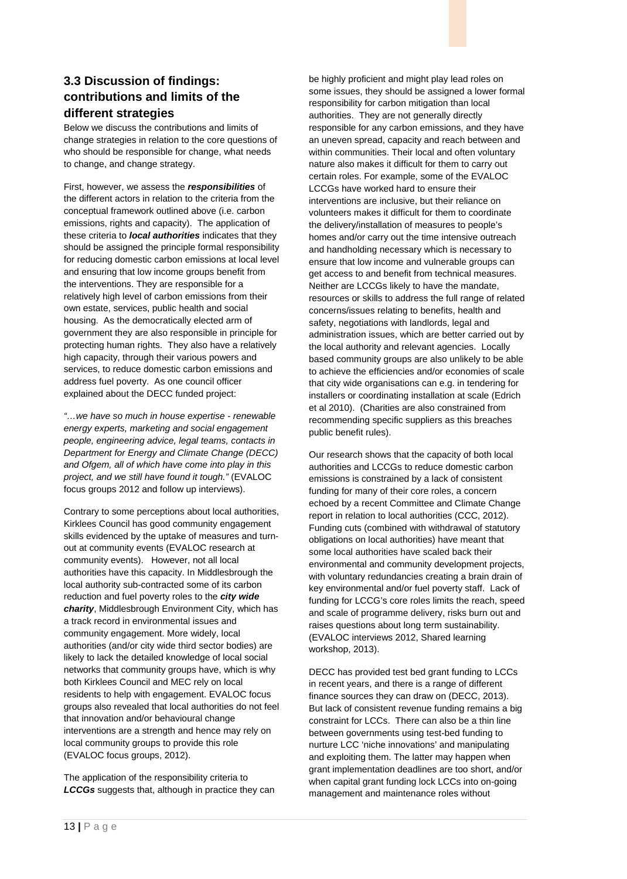## **3.3 Discussion of findings: contributions and limits of the different strategies**

Below we discuss the contributions and limits of change strategies in relation to the core questions of who should be responsible for change, what needs to change, and change strategy.

First, however, we assess the *responsibilities* of the different actors in relation to the criteria from the conceptual framework outlined above (i.e. carbon emissions, rights and capacity). The application of these criteria to *local authorities* indicates that they should be assigned the principle formal responsibility for reducing domestic carbon emissions at local level and ensuring that low income groups benefit from the interventions. They are responsible for a relatively high level of carbon emissions from their own estate, services, public health and social housing. As the democratically elected arm of government they are also responsible in principle for protecting human rights. They also have a relatively high capacity, through their various powers and services, to reduce domestic carbon emissions and address fuel poverty. As one council officer explained about the DECC funded project:

*"…we have so much in house expertise - renewable energy experts, marketing and social engagement people, engineering advice, legal teams, contacts in Department for Energy and Climate Change (DECC) and Ofgem, all of which have come into play in this project, and we still have found it tough."* (EVALOC focus groups 2012 and follow up interviews).

Contrary to some perceptions about local authorities, Kirklees Council has good community engagement skills evidenced by the uptake of measures and turnout at community events (EVALOC research at community events). However, not all local authorities have this capacity. In Middlesbrough the local authority sub-contracted some of its carbon reduction and fuel poverty roles to the *city wide charity*, Middlesbrough Environment City, which has a track record in environmental issues and community engagement. More widely, local authorities (and/or city wide third sector bodies) are likely to lack the detailed knowledge of local social networks that community groups have, which is why both Kirklees Council and MEC rely on local residents to help with engagement. EVALOC focus groups also revealed that local authorities do not feel that innovation and/or behavioural change interventions are a strength and hence may rely on local community groups to provide this role (EVALOC focus groups, 2012).

The application of the responsibility criteria to *LCCGs* suggests that, although in practice they can

be highly proficient and might play lead roles on some issues, they should be assigned a lower formal responsibility for carbon mitigation than local authorities. They are not generally directly responsible for any carbon emissions, and they have an uneven spread, capacity and reach between and within communities. Their local and often voluntary nature also makes it difficult for them to carry out certain roles. For example, some of the EVALOC LCCGs have worked hard to ensure their interventions are inclusive, but their reliance on volunteers makes it difficult for them to coordinate the delivery/installation of measures to people's homes and/or carry out the time intensive outreach and handholding necessary which is necessary to ensure that low income and vulnerable groups can get access to and benefit from technical measures. Neither are LCCGs likely to have the mandate, resources or skills to address the full range of related concerns/issues relating to benefits, health and safety, negotiations with landlords, legal and administration issues, which are better carried out by the local authority and relevant agencies. Locally based community groups are also unlikely to be able to achieve the efficiencies and/or economies of scale that city wide organisations can e.g. in tendering for installers or coordinating installation at scale (Edrich et al 2010). (Charities are also constrained from recommending specific suppliers as this breaches public benefit rules).

Our research shows that the capacity of both local authorities and LCCGs to reduce domestic carbon emissions is constrained by a lack of consistent funding for many of their core roles, a concern echoed by a recent Committee and Climate Change report in relation to local authorities (CCC, 2012). Funding cuts (combined with withdrawal of statutory obligations on local authorities) have meant that some local authorities have scaled back their environmental and community development projects, with voluntary redundancies creating a brain drain of key environmental and/or fuel poverty staff. Lack of funding for LCCG's core roles limits the reach, speed and scale of programme delivery, risks burn out and raises questions about long term sustainability. (EVALOC interviews 2012, Shared learning workshop, 2013).

DECC has provided test bed grant funding to LCCs in recent years, and there is a range of different finance sources they can draw on (DECC, 2013). But lack of consistent revenue funding remains a big constraint for LCCs. There can also be a thin line between governments using test-bed funding to nurture LCC 'niche innovations' and manipulating and exploiting them. The latter may happen when grant implementation deadlines are too short, and/or when capital grant funding lock LCCs into on-going management and maintenance roles without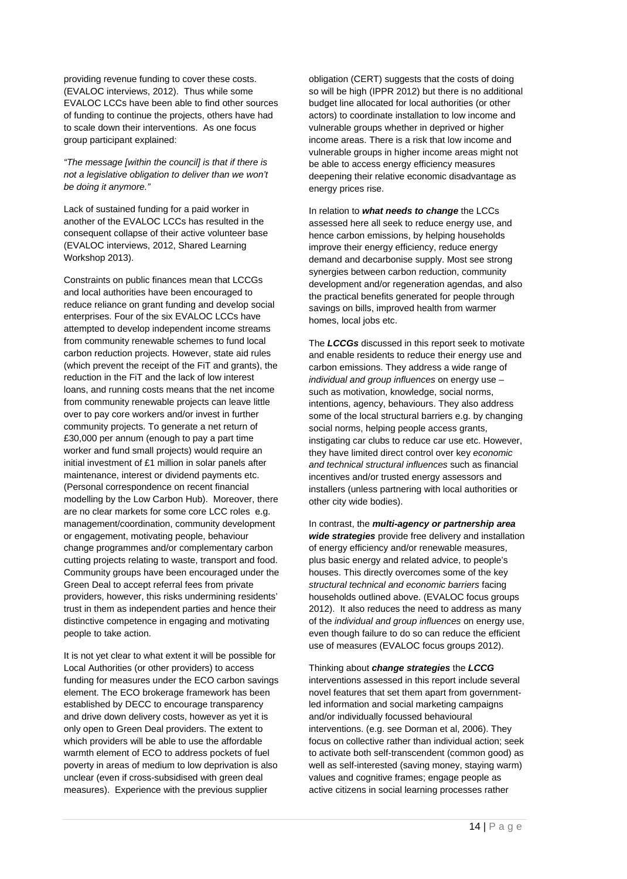providing revenue funding to cover these costs. (EVALOC interviews, 2012). Thus while some EVALOC LCCs have been able to find other sources of funding to continue the projects, others have had to scale down their interventions. As one focus group participant explained:

*"The message [within the council] is that if there is not a legislative obligation to deliver than we won't be doing it anymore."* 

Lack of sustained funding for a paid worker in another of the EVALOC LCCs has resulted in the consequent collapse of their active volunteer base (EVALOC interviews, 2012, Shared Learning Workshop 2013).

Constraints on public finances mean that LCCGs and local authorities have been encouraged to reduce reliance on grant funding and develop social enterprises. Four of the six EVALOC LCCs have attempted to develop independent income streams from community renewable schemes to fund local carbon reduction projects. However, state aid rules (which prevent the receipt of the FiT and grants), the reduction in the FiT and the lack of low interest loans, and running costs means that the net income from community renewable projects can leave little over to pay core workers and/or invest in further community projects. To generate a net return of £30,000 per annum (enough to pay a part time worker and fund small projects) would require an initial investment of £1 million in solar panels after maintenance, interest or dividend payments etc. (Personal correspondence on recent financial modelling by the Low Carbon Hub). Moreover, there are no clear markets for some core LCC roles e.g. management/coordination, community development or engagement, motivating people, behaviour change programmes and/or complementary carbon cutting projects relating to waste, transport and food. Community groups have been encouraged under the Green Deal to accept referral fees from private providers, however, this risks undermining residents' trust in them as independent parties and hence their distinctive competence in engaging and motivating people to take action.

It is not yet clear to what extent it will be possible for Local Authorities (or other providers) to access funding for measures under the ECO carbon savings element. The ECO brokerage framework has been established by DECC to encourage transparency and drive down delivery costs, however as yet it is only open to Green Deal providers. The extent to which providers will be able to use the affordable warmth element of ECO to address pockets of fuel poverty in areas of medium to low deprivation is also unclear (even if cross-subsidised with green deal measures). Experience with the previous supplier

obligation (CERT) suggests that the costs of doing so will be high (IPPR 2012) but there is no additional budget line allocated for local authorities (or other actors) to coordinate installation to low income and vulnerable groups whether in deprived or higher income areas. There is a risk that low income and vulnerable groups in higher income areas might not be able to access energy efficiency measures deepening their relative economic disadvantage as energy prices rise.

In relation to *what needs to change* the LCCs assessed here all seek to reduce energy use, and hence carbon emissions, by helping households improve their energy efficiency, reduce energy demand and decarbonise supply. Most see strong synergies between carbon reduction, community development and/or regeneration agendas, and also the practical benefits generated for people through savings on bills, improved health from warmer homes, local jobs etc.

The *LCCGs* discussed in this report seek to motivate and enable residents to reduce their energy use and carbon emissions. They address a wide range of *individual and group influences* on energy use – such as motivation, knowledge, social norms, intentions, agency, behaviours. They also address some of the local structural barriers e.g. by changing social norms, helping people access grants, instigating car clubs to reduce car use etc. However, they have limited direct control over key *economic and technical structural influences* such as financial incentives and/or trusted energy assessors and installers (unless partnering with local authorities or other city wide bodies).

In contrast, the *multi-agency or partnership area wide strategies* provide free delivery and installation of energy efficiency and/or renewable measures, plus basic energy and related advice, to people's houses. This directly overcomes some of the key *structural technical and economic barriers* facing households outlined above. (EVALOC focus groups 2012). It also reduces the need to address as many of the *individual and group influences* on energy use, even though failure to do so can reduce the efficient use of measures (EVALOC focus groups 2012).

Thinking about *change strategies* the *LCCG*  interventions assessed in this report include several novel features that set them apart from governmentled information and social marketing campaigns and/or individually focussed behavioural interventions. (e.g. see Dorman et al, 2006). They focus on collective rather than individual action; seek to activate both self-transcendent (common good) as well as self-interested (saving money, staying warm) values and cognitive frames; engage people as active citizens in social learning processes rather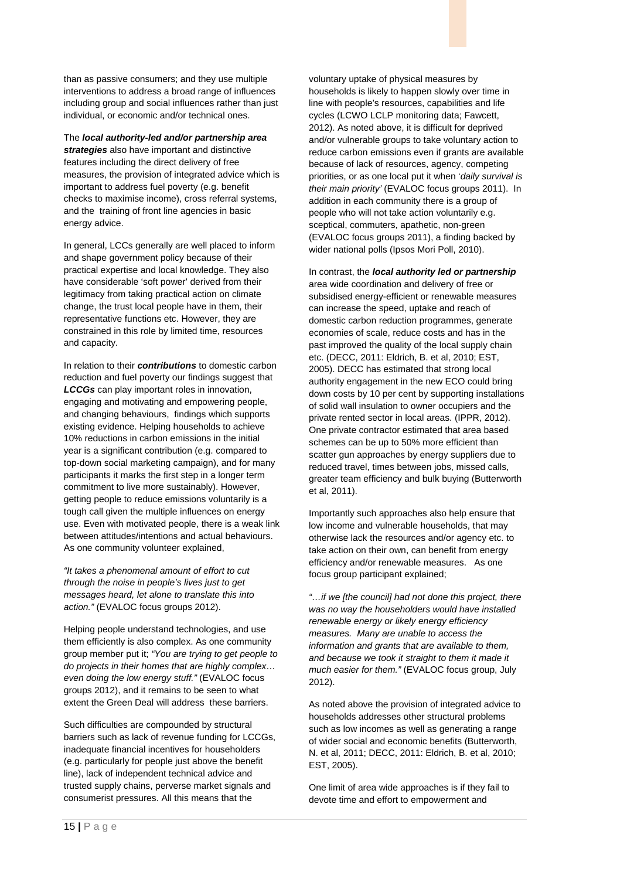than as passive consumers; and they use multiple interventions to address a broad range of influences including group and social influences rather than just individual, or economic and/or technical ones.

The *local authority-led and/or partnership area strategies* also have important and distinctive features including the direct delivery of free measures, the provision of integrated advice which is important to address fuel poverty (e.g. benefit checks to maximise income), cross referral systems, and the training of front line agencies in basic energy advice.

In general, LCCs generally are well placed to inform and shape government policy because of their practical expertise and local knowledge. They also have considerable 'soft power' derived from their legitimacy from taking practical action on climate change, the trust local people have in them, their representative functions etc. However, they are constrained in this role by limited time, resources and capacity.

In relation to their *contributions* to domestic carbon reduction and fuel poverty our findings suggest that *LCCGs* can play important roles in innovation, engaging and motivating and empowering people, and changing behaviours, findings which supports existing evidence. Helping households to achieve 10% reductions in carbon emissions in the initial year is a significant contribution (e.g. compared to top-down social marketing campaign), and for many participants it marks the first step in a longer term commitment to live more sustainably). However, getting people to reduce emissions voluntarily is a tough call given the multiple influences on energy use. Even with motivated people, there is a weak link between attitudes/intentions and actual behaviours. As one community volunteer explained,

*"It takes a phenomenal amount of effort to cut through the noise in people's lives just to get messages heard, let alone to translate this into action."* (EVALOC focus groups 2012).

Helping people understand technologies, and use them efficiently is also complex. As one community group member put it; *"You are trying to get people to do projects in their homes that are highly complex… even doing the low energy stuff."* (EVALOC focus groups 2012), and it remains to be seen to what extent the Green Deal will address these barriers.

Such difficulties are compounded by structural barriers such as lack of revenue funding for LCCGs, inadequate financial incentives for householders (e.g. particularly for people just above the benefit line), lack of independent technical advice and trusted supply chains, perverse market signals and consumerist pressures. All this means that the

voluntary uptake of physical measures by households is likely to happen slowly over time in line with people's resources, capabilities and life cycles (LCWO LCLP monitoring data; Fawcett, 2012). As noted above, it is difficult for deprived and/or vulnerable groups to take voluntary action to reduce carbon emissions even if grants are available because of lack of resources, agency, competing priorities, or as one local put it when '*daily survival is their main priority'* (EVALOC focus groups 2011). In addition in each community there is a group of people who will not take action voluntarily e.g. sceptical, commuters, apathetic, non-green (EVALOC focus groups 2011), a finding backed by wider national polls (Ipsos Mori Poll, 2010).

In contrast, the *local authority led or partnership* area wide coordination and delivery of free or subsidised energy-efficient or renewable measures can increase the speed, uptake and reach of domestic carbon reduction programmes, generate economies of scale, reduce costs and has in the past improved the quality of the local supply chain etc. (DECC, 2011: Eldrich, B. et al, 2010; EST, 2005). DECC has estimated that strong local authority engagement in the new ECO could bring down costs by 10 per cent by supporting installations of solid wall insulation to owner occupiers and the private rented sector in local areas. (IPPR, 2012). One private contractor estimated that area based schemes can be up to 50% more efficient than scatter gun approaches by energy suppliers due to reduced travel, times between jobs, missed calls, greater team efficiency and bulk buying (Butterworth et al, 2011).

Importantly such approaches also help ensure that low income and vulnerable households, that may otherwise lack the resources and/or agency etc. to take action on their own, can benefit from energy efficiency and/or renewable measures. As one focus group participant explained;

*"…if we [the council] had not done this project, there was no way the householders would have installed renewable energy or likely energy efficiency measures. Many are unable to access the information and grants that are available to them, and because we took it straight to them it made it much easier for them."* (EVALOC focus group, July 2012).

As noted above the provision of integrated advice to households addresses other structural problems such as low incomes as well as generating a range of wider social and economic benefits (Butterworth, N. et al, 2011; DECC, 2011: Eldrich, B. et al, 2010; EST, 2005).

One limit of area wide approaches is if they fail to devote time and effort to empowerment and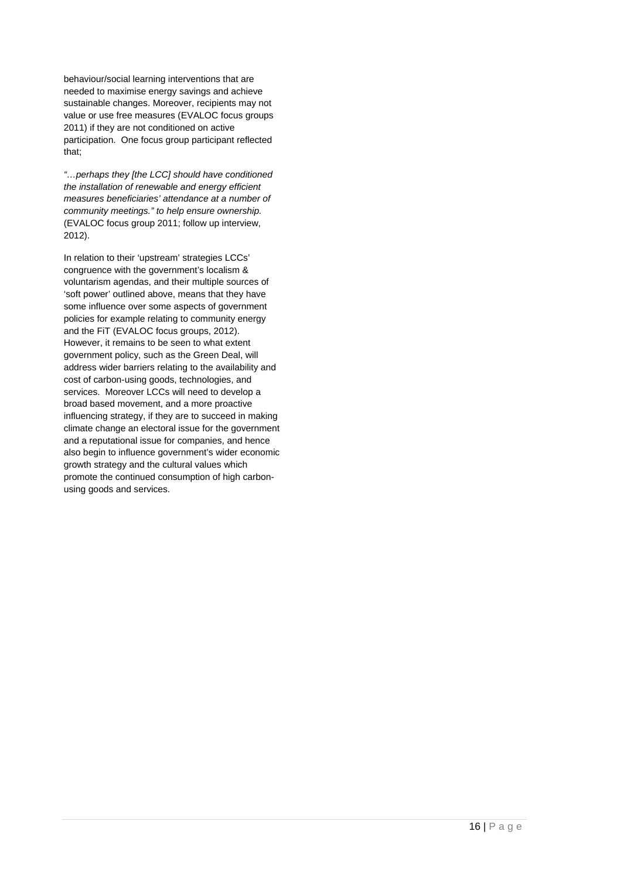behaviour/social learning interventions that are needed to maximise energy savings and achieve sustainable changes. Moreover, recipients may not value or use free measures (EVALOC focus groups 2011) if they are not conditioned on active participation. One focus group participant reflected that;

*"…perhaps they [the LCC] should have conditioned the installation of renewable and energy efficient measures beneficiaries' attendance at a number of community meetings." to help ensure ownership.* (EVALOC focus group 2011; follow up interview, 2012).

In relation to their 'upstream' strategies LCCs' congruence with the government's localism & voluntarism agendas, and their multiple sources of 'soft power' outlined above, means that they have some influence over some aspects of government policies for example relating to community energy and the FiT (EVALOC focus groups, 2012). However, it remains to be seen to what extent government policy, such as the Green Deal, will address wider barriers relating to the availability and cost of carbon-using goods, technologies, and services. Moreover LCCs will need to develop a broad based movement, and a more proactive influencing strategy, if they are to succeed in making climate change an electoral issue for the government and a reputational issue for companies, and hence also begin to influence government's wider economic growth strategy and the cultural values which promote the continued consumption of high carbonusing goods and services.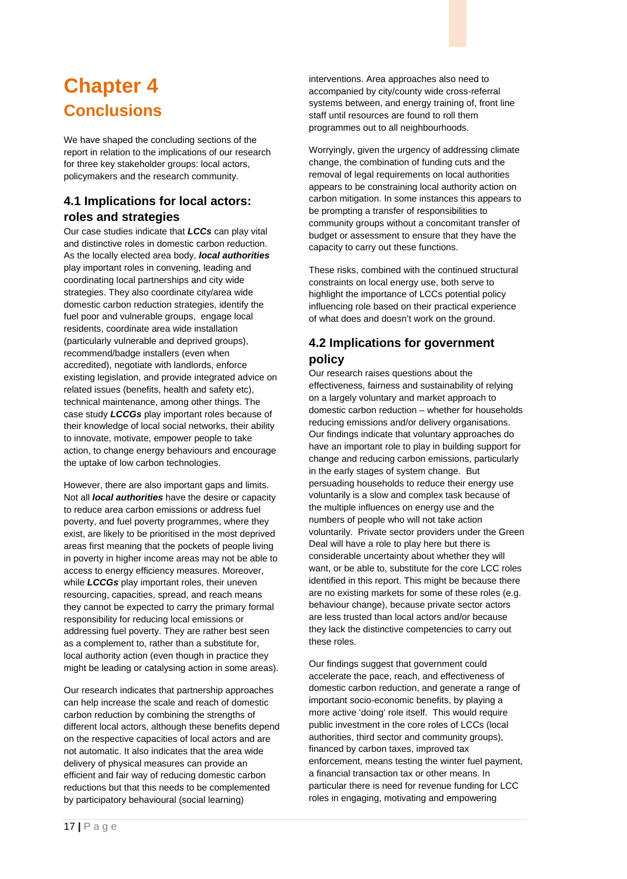# <span id="page-20-0"></span>**Chapter 4 Conclusions**

We have shaped the concluding sections of the report in relation to the implications of our research for three key stakeholder groups: local actors, policymakers and the research community.

# **4.1 Implications for local actors: roles and strategies**

Our case studies indicate that *LCCs* can play vital and distinctive roles in domestic carbon reduction. As the locally elected area body, *local authorities* play important roles in convening, leading and coordinating local partnerships and city wide strategies. They also coordinate city/area wide domestic carbon reduction strategies, identify the fuel poor and vulnerable groups, engage local residents, coordinate area wide installation (particularly vulnerable and deprived groups), recommend/badge installers (even when accredited), negotiate with landlords, enforce existing legislation, and provide integrated advice on related issues (benefits, health and safety etc), technical maintenance, among other things. The case study *LCCGs* play important roles because of their knowledge of local social networks, their ability to innovate, motivate, empower people to take action, to change energy behaviours and encourage the uptake of low carbon technologies.

However, there are also important gaps and limits. Not all *local authorities* have the desire or capacity to reduce area carbon emissions or address fuel poverty, and fuel poverty programmes, where they exist, are likely to be prioritised in the most deprived areas first meaning that the pockets of people living in poverty in higher income areas may not be able to access to energy efficiency measures. Moreover, while *LCCGs* play important roles, their uneven resourcing, capacities, spread, and reach means they cannot be expected to carry the primary formal responsibility for reducing local emissions or addressing fuel poverty. They are rather best seen as a complement to, rather than a substitute for, local authority action (even though in practice they might be leading or catalysing action in some areas).

Our research indicates that partnership approaches can help increase the scale and reach of domestic carbon reduction by combining the strengths of different local actors, although these benefits depend on the respective capacities of local actors and are not automatic. It also indicates that the area wide delivery of physical measures can provide an efficient and fair way of reducing domestic carbon reductions but that this needs to be complemented by participatory behavioural (social learning)

interventions. Area approaches also need to accompanied by city/county wide cross-referral systems between, and energy training of, front line staff until resources are found to roll them programmes out to all neighbourhoods.

Worryingly, given the urgency of addressing climate change, the combination of funding cuts and the removal of legal requirements on local authorities appears to be constraining local authority action on carbon mitigation. In some instances this appears to be prompting a transfer of responsibilities to community groups without a concomitant transfer of budget or assessment to ensure that they have the capacity to carry out these functions.

These risks, combined with the continued structural constraints on local energy use, both serve to highlight the importance of LCCs potential policy influencing role based on their practical experience of what does and doesn't work on the ground.

# **4.2 Implications for government policy**

Our research raises questions about the effectiveness, fairness and sustainability of relying on a largely voluntary and market approach to domestic carbon reduction – whether for households reducing emissions and/or delivery organisations. Our findings indicate that voluntary approaches do have an important role to play in building support for change and reducing carbon emissions, particularly in the early stages of system change. But persuading households to reduce their energy use voluntarily is a slow and complex task because of the multiple influences on energy use and the numbers of people who will not take action voluntarily. Private sector providers under the Green Deal will have a role to play here but there is considerable uncertainty about whether they will want, or be able to, substitute for the core LCC roles identified in this report. This might be because there are no existing markets for some of these roles (e.g. behaviour change), because private sector actors are less trusted than local actors and/or because they lack the distinctive competencies to carry out these roles.

Our findings suggest that government could accelerate the pace, reach, and effectiveness of domestic carbon reduction, and generate a range of important socio-economic benefits, by playing a more active 'doing' role itself. This would require public investment in the core roles of LCCs (local authorities, third sector and community groups), financed by carbon taxes, improved tax enforcement, means testing the winter fuel payment, a financial transaction tax or other means. In particular there is need for revenue funding for LCC roles in engaging, motivating and empowering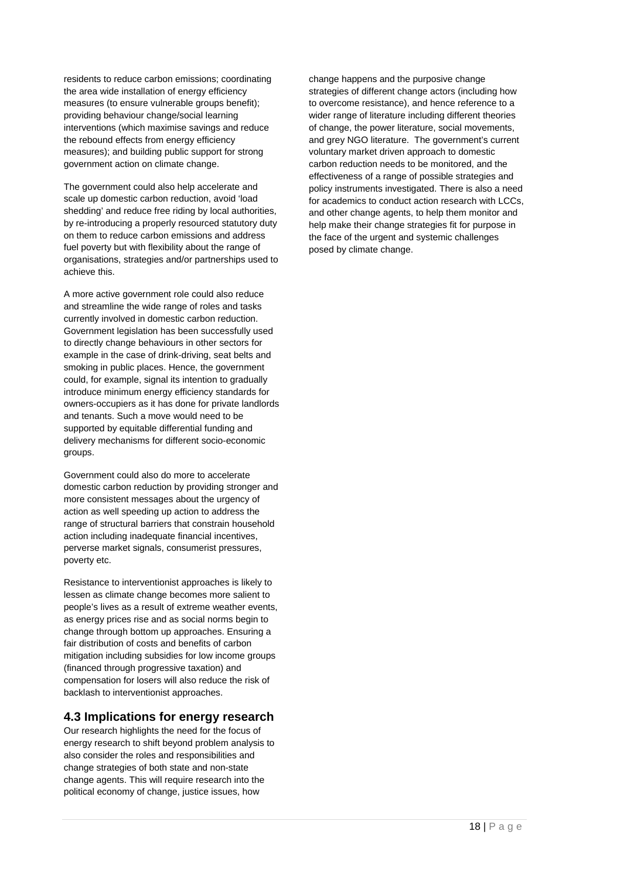residents to reduce carbon emissions; coordinating the area wide installation of energy efficiency measures (to ensure vulnerable groups benefit); providing behaviour change/social learning interventions (which maximise savings and reduce the rebound effects from energy efficiency measures); and building public support for strong government action on climate change.

The government could also help accelerate and scale up domestic carbon reduction, avoid 'load shedding' and reduce free riding by local authorities, by re-introducing a properly resourced statutory duty on them to reduce carbon emissions and address fuel poverty but with flexibility about the range of organisations, strategies and/or partnerships used to achieve this.

A more active government role could also reduce and streamline the wide range of roles and tasks currently involved in domestic carbon reduction. Government legislation has been successfully used to directly change behaviours in other sectors for example in the case of drink-driving, seat belts and smoking in public places. Hence, the government could, for example, signal its intention to gradually introduce minimum energy efficiency standards for owners-occupiers as it has done for private landlords and tenants. Such a move would need to be supported by equitable differential funding and delivery mechanisms for different socio-economic groups.

Government could also do more to accelerate domestic carbon reduction by providing stronger and more consistent messages about the urgency of action as well speeding up action to address the range of structural barriers that constrain household action including inadequate financial incentives, perverse market signals, consumerist pressures, poverty etc.

Resistance to interventionist approaches is likely to lessen as climate change becomes more salient to people's lives as a result of extreme weather events, as energy prices rise and as social norms begin to change through bottom up approaches. Ensuring a fair distribution of costs and benefits of carbon mitigation including subsidies for low income groups (financed through progressive taxation) and compensation for losers will also reduce the risk of backlash to interventionist approaches.

#### **4.3 Implications for energy research**

Our research highlights the need for the focus of energy research to shift beyond problem analysis to also consider the roles and responsibilities and change strategies of both state and non-state change agents. This will require research into the political economy of change, justice issues, how

change happens and the purposive change strategies of different change actors (including how to overcome resistance), and hence reference to a wider range of literature including different theories of change, the power literature, social movements, and grey NGO literature. The government's current voluntary market driven approach to domestic carbon reduction needs to be monitored, and the effectiveness of a range of possible strategies and policy instruments investigated. There is also a need for academics to conduct action research with LCCs, and other change agents, to help them monitor and help make their change strategies fit for purpose in the face of the urgent and systemic challenges posed by climate change.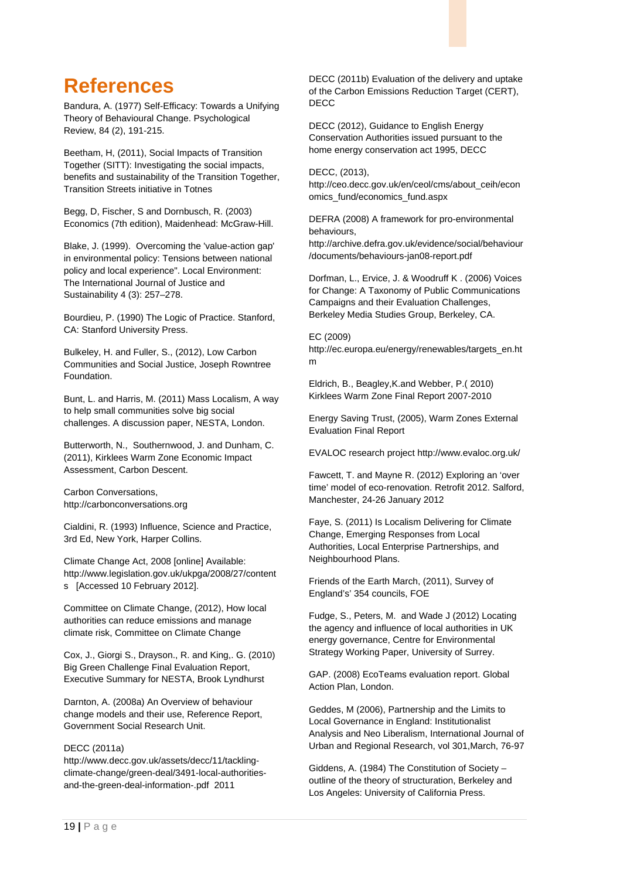# <span id="page-22-0"></span>**References**

Bandura, A. (1977) Self-Efficacy: Towards a Unifying Theory of Behavioural Change. Psychological Review, 84 (2), 191-215.

Beetham, H, (2011), Social Impacts of Transition Together (SITT): Investigating the social impacts, benefits and sustainability of the Transition Together, Transition Streets initiative in Totnes

Begg, D, Fischer, S and Dornbusch, R. (2003) Economics (7th edition), Maidenhead: McGraw-Hill.

Blake, J. (1999). Overcoming the 'value-action gap' in environmental policy: Tensions between national policy and local experience". Local Environment: The International Journal of Justice and Sustainability 4 (3): 257–278.

Bourdieu, P. (1990) The Logic of Practice. Stanford, CA: Stanford University Press.

Bulkeley, H. and Fuller, S., (2012), Low Carbon Communities and Social Justice, Joseph Rowntree Foundation.

Bunt, L. and Harris, M. (2011) Mass Localism, A way to help small communities solve big social challenges. A discussion paper, NESTA, London.

Butterworth, N., Southernwood, J. and Dunham, C. (2011), Kirklees Warm Zone Economic Impact Assessment, Carbon Descent.

Carbon Conversations, http://carbonconversations.org

Cialdini, R. (1993) Influence, Science and Practice, 3rd Ed, New York, Harper Collins.

Climate Change Act, 2008 [online] Available: http://www.legislation.gov.uk/ukpga/2008/27/content s [Accessed 10 February 2012].

Committee on Climate Change, (2012), How local authorities can reduce emissions and manage climate risk, Committee on Climate Change

Cox, J., Giorgi S., Drayson., R. and King,. G. (2010) Big Green Challenge Final Evaluation Report, Executive Summary for NESTA, Brook Lyndhurst

Darnton, A. (2008a) An Overview of behaviour change models and their use, Reference Report, Government Social Research Unit.

#### DECC (2011a)

http://www.decc.gov.uk/assets/decc/11/tacklingclimate-change/green-deal/3491-local-authoritiesand-the-green-deal-information-.pdf 2011

DECC (2011b) Evaluation of the delivery and uptake of the Carbon Emissions Reduction Target (CERT), DECC

DECC (2012), Guidance to English Energy Conservation Authorities issued pursuant to the home energy conservation act 1995, DECC

DECC, (2013),

http://ceo.decc.gov.uk/en/ceol/cms/about\_ceih/econ omics\_fund/economics\_fund.aspx

DEFRA (2008) A framework for pro-environmental behaviours,

http://archive.defra.gov.uk/evidence/social/behaviour /documents/behaviours-jan08-report.pdf

Dorfman, L., Ervice, J. & Woodruff K . (2006) Voices for Change: A Taxonomy of Public Communications Campaigns and their Evaluation Challenges, Berkeley Media Studies Group, Berkeley, CA.

#### EC (2009)

http://ec.europa.eu/energy/renewables/targets\_en.ht m

Eldrich, B., Beagley,K.and Webber, P.( 2010) Kirklees Warm Zone Final Report 2007-2010

Energy Saving Trust, (2005), Warm Zones External Evaluation Final Report

EVALOC research project http://www.evaloc.org.uk/

Fawcett, T. and Mayne R. (2012) Exploring an 'over time' model of eco-renovation. Retrofit 2012. Salford, Manchester, 24-26 January 2012

Faye, S. (2011) Is Localism Delivering for Climate Change, Emerging Responses from Local Authorities, Local Enterprise Partnerships, and Neighbourhood Plans.

Friends of the Earth March, (2011), Survey of England's' 354 councils, FOE

Fudge, S., Peters, M. and Wade J (2012) Locating the agency and influence of local authorities in UK energy governance, Centre for Environmental Strategy Working Paper, University of Surrey.

GAP. (2008) EcoTeams evaluation report. Global Action Plan, London.

Geddes, M (2006), Partnership and the Limits to Local Governance in England: Institutionalist Analysis and Neo Liberalism, International Journal of Urban and Regional Research, vol 301,March, 76-97

Giddens, A. (1984) The Constitution of Society – outline of the theory of structuration, Berkeley and Los Angeles: University of California Press.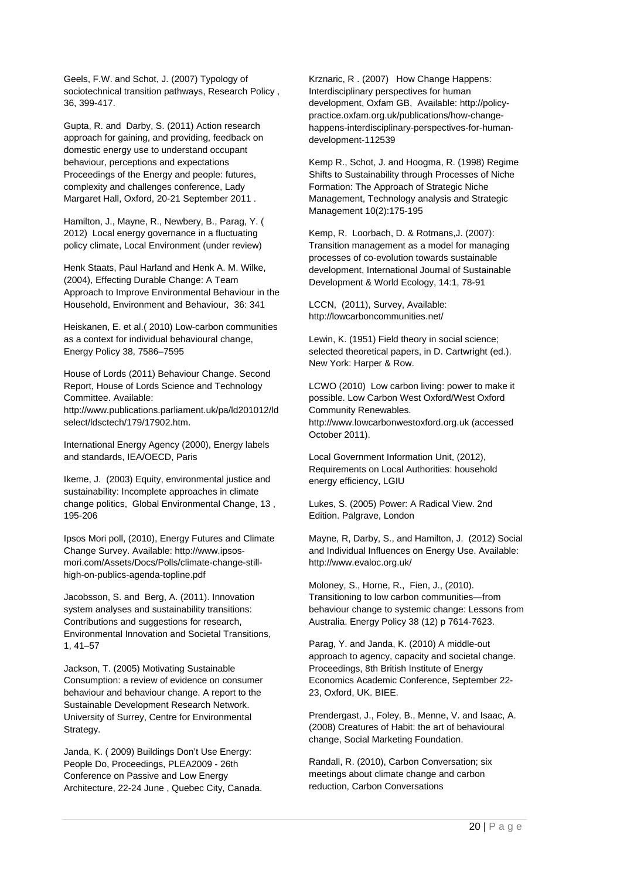Geels, F.W. and Schot, J. (2007) Typology of sociotechnical transition pathways, Research Policy , 36, 399-417.

Gupta, R. and Darby, S. (2011) Action research approach for gaining, and providing, feedback on domestic energy use to understand occupant behaviour, perceptions and expectations Proceedings of the Energy and people: futures, complexity and challenges conference, Lady Margaret Hall, Oxford, 20-21 September 2011 .

Hamilton, J., Mayne, R., Newbery, B., Parag, Y. ( 2012) Local energy governance in a fluctuating policy climate, Local Environment (under review)

Henk Staats, Paul Harland and Henk A. M. Wilke, (2004), Effecting Durable Change: A Team Approach to Improve Environmental Behaviour in the Household, Environment and Behaviour, 36: 341

Heiskanen, E. et al.( 2010) Low-carbon communities as a context for individual behavioural change, Energy Policy 38, 7586–7595

House of Lords (2011) Behaviour Change. Second Report, House of Lords Science and Technology Committee. Available: http://www.publications.parliament.uk/pa/ld201012/ld select/ldsctech/179/17902.htm.

International Energy Agency (2000), Energy labels and standards, IEA/OECD, Paris

Ikeme, J. (2003) Equity, environmental justice and sustainability: Incomplete approaches in climate change politics, Global Environmental Change, 13 , 195-206

Ipsos Mori poll, (2010), Energy Futures and Climate Change Survey. Available: http://www.ipsosmori.com/Assets/Docs/Polls/climate-change-stillhigh-on-publics-agenda-topline.pdf

Jacobsson, S. and Berg, A. (2011). Innovation system analyses and sustainability transitions: Contributions and suggestions for research, Environmental Innovation and Societal Transitions, 1, 41–57

Jackson, T. (2005) Motivating Sustainable Consumption: a review of evidence on consumer behaviour and behaviour change. A report to the Sustainable Development Research Network. University of Surrey, Centre for Environmental Strategy.

Janda, K. ( 2009) Buildings Don't Use Energy: People Do, Proceedings, PLEA2009 - 26th Conference on Passive and Low Energy Architecture, 22-24 June , Quebec City, Canada. Krznaric, R . (2007) How Change Happens: Interdisciplinary perspectives for human development, Oxfam GB, Available: http://policypractice.oxfam.org.uk/publications/how-changehappens-interdisciplinary-perspectives-for-humandevelopment-112539

Kemp R., Schot, J. and Hoogma, R. (1998) Regime Shifts to Sustainability through Processes of Niche Formation: The Approach of Strategic Niche Management, Technology analysis and Strategic Management 10(2):175-195

Kemp, R. Loorbach, D. & Rotmans,J. (2007): Transition management as a model for managing processes of co-evolution towards sustainable development, International Journal of Sustainable Development & World Ecology, 14:1, 78-91

LCCN, (2011), Survey, Available: http://lowcarboncommunities.net/

Lewin, K. (1951) Field theory in social science; selected theoretical papers, in D. Cartwright (ed.). New York: Harper & Row.

LCWO (2010) Low carbon living: power to make it possible. Low Carbon West Oxford/West Oxford Community Renewables. http://www.lowcarbonwestoxford.org.uk (accessed October 2011).

Local Government Information Unit, (2012), Requirements on Local Authorities: household energy efficiency, LGIU

Lukes, S. (2005) Power: A Radical View. 2nd Edition. Palgrave, London

Mayne, R, Darby, S., and Hamilton, J. (2012) Social and Individual Influences on Energy Use. Available: http://www.evaloc.org.uk/

Moloney, S., Horne, R., Fien, J., (2010). Transitioning to low carbon communities—from behaviour change to systemic change: Lessons from Australia. Energy Policy 38 (12) p 7614-7623.

Parag, Y. and Janda, K. (2010) A middle-out approach to agency, capacity and societal change. Proceedings, 8th British Institute of Energy Economics Academic Conference, September 22- 23, Oxford, UK. BIEE.

Prendergast, J., Foley, B., Menne, V. and Isaac, A. (2008) Creatures of Habit: the art of behavioural change, Social Marketing Foundation.

Randall, R. (2010), Carbon Conversation; six meetings about climate change and carbon reduction, Carbon Conversations